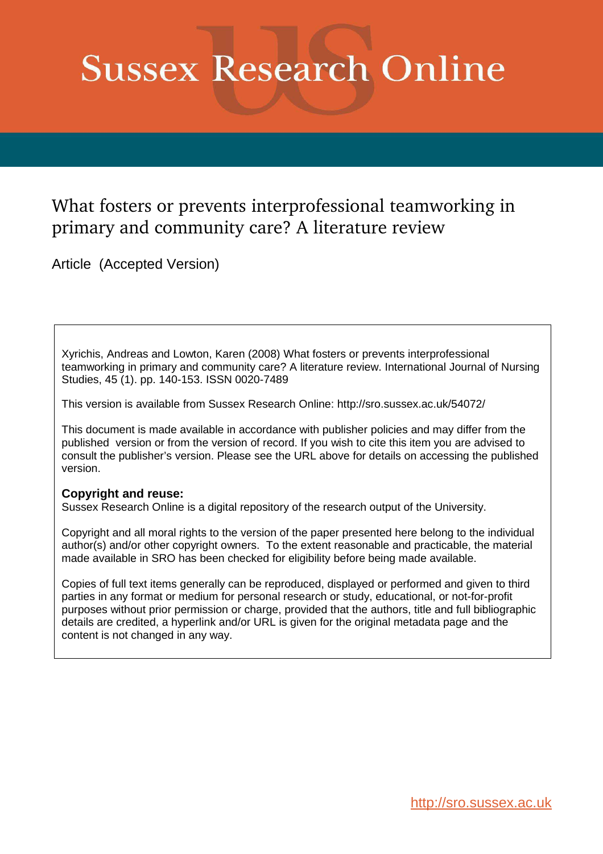# **Sussex Research Online**

# What fosters or prevents interprofessional teamworking in primary and community care? A literature review

Article (Accepted Version)

Xyrichis, Andreas and Lowton, Karen (2008) What fosters or prevents interprofessional teamworking in primary and community care? A literature review. International Journal of Nursing Studies, 45 (1). pp. 140-153. ISSN 0020-7489

This version is available from Sussex Research Online: http://sro.sussex.ac.uk/54072/

This document is made available in accordance with publisher policies and may differ from the published version or from the version of record. If you wish to cite this item you are advised to consult the publisher's version. Please see the URL above for details on accessing the published version.

# **Copyright and reuse:**

Sussex Research Online is a digital repository of the research output of the University.

Copyright and all moral rights to the version of the paper presented here belong to the individual author(s) and/or other copyright owners. To the extent reasonable and practicable, the material made available in SRO has been checked for eligibility before being made available.

Copies of full text items generally can be reproduced, displayed or performed and given to third parties in any format or medium for personal research or study, educational, or not-for-profit purposes without prior permission or charge, provided that the authors, title and full bibliographic details are credited, a hyperlink and/or URL is given for the original metadata page and the content is not changed in any way.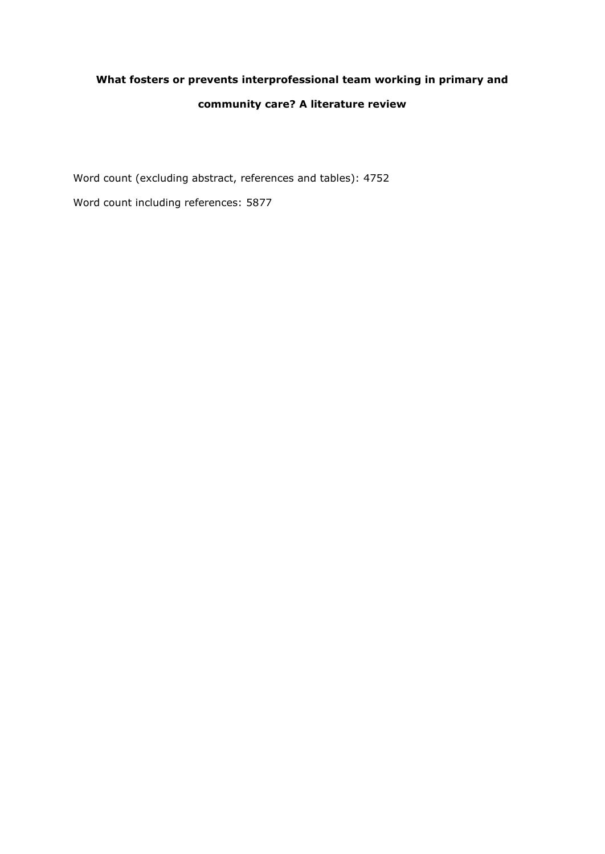# **What fosters or prevents interprofessional team working in primary and community care? A literature review**

Word count (excluding abstract, references and tables): 4752

Word count including references: 5877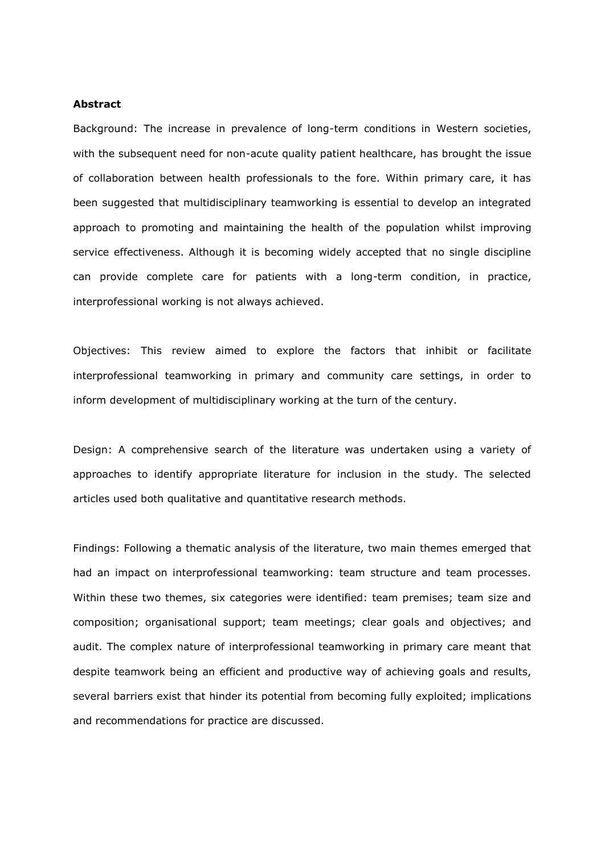#### **Abstract**

Background: The increase in prevalence of long-term conditions in Western societies, with the subsequent need for non-acute quality patient healthcare, has brought the issue of collaboration between health professionals to the fore. Within primary care, it has been suggested that multidisciplinary teamworking is essential to develop an integrated approach to promoting and maintaining the health of the population whilst improving service effectiveness. Although it is becoming widely accepted that no single discipline can provide complete care for patients with a long-term condition, in practice, interprofessional working is not always achieved.

Objectives: This review aimed to explore the factors that inhibit or facilitate interprofessional teamworking in primary and community care settings, in order to inform development of multidisciplinary working at the turn of the century.

Design: A comprehensive search of the literature was undertaken using a variety of approaches to identify appropriate literature for inclusion in the study. The selected articles used both qualitative and quantitative research methods.

Findings: Following a thematic analysis of the literature, two main themes emerged that had an impact on interprofessional teamworking: team structure and team processes. Within these two themes, six categories were identified: team premises; team size and composition; organisational support; team meetings; clear goals and objectives; and audit. The complex nature of interprofessional teamworking in primary care meant that despite teamwork being an efficient and productive way of achieving goals and results, several barriers exist that hinder its potential from becoming fully exploited; implications and recommendations for practice are discussed.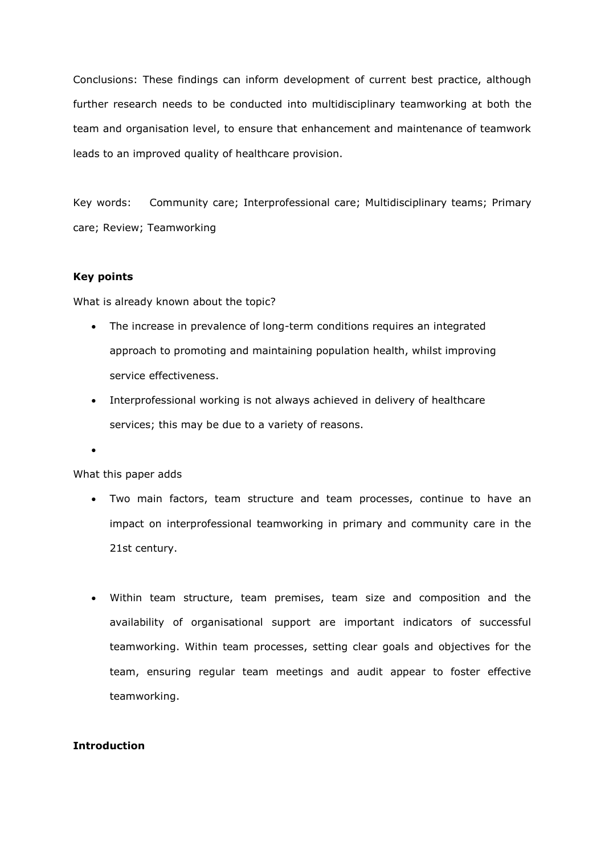Conclusions: These findings can inform development of current best practice, although further research needs to be conducted into multidisciplinary teamworking at both the team and organisation level, to ensure that enhancement and maintenance of teamwork leads to an improved quality of healthcare provision.

Key words: Community care; Interprofessional care; Multidisciplinary teams; Primary care; Review; Teamworking

# **Key points**

What is already known about the topic?

- The increase in prevalence of long-term conditions requires an integrated approach to promoting and maintaining population health, whilst improving service effectiveness.
- Interprofessional working is not always achieved in delivery of healthcare services; this may be due to a variety of reasons.

 $\bullet$ 

## What this paper adds

- Two main factors, team structure and team processes, continue to have an impact on interprofessional teamworking in primary and community care in the 21st century.
- Within team structure, team premises, team size and composition and the availability of organisational support are important indicators of successful teamworking. Within team processes, setting clear goals and objectives for the team, ensuring regular team meetings and audit appear to foster effective teamworking.

# **Introduction**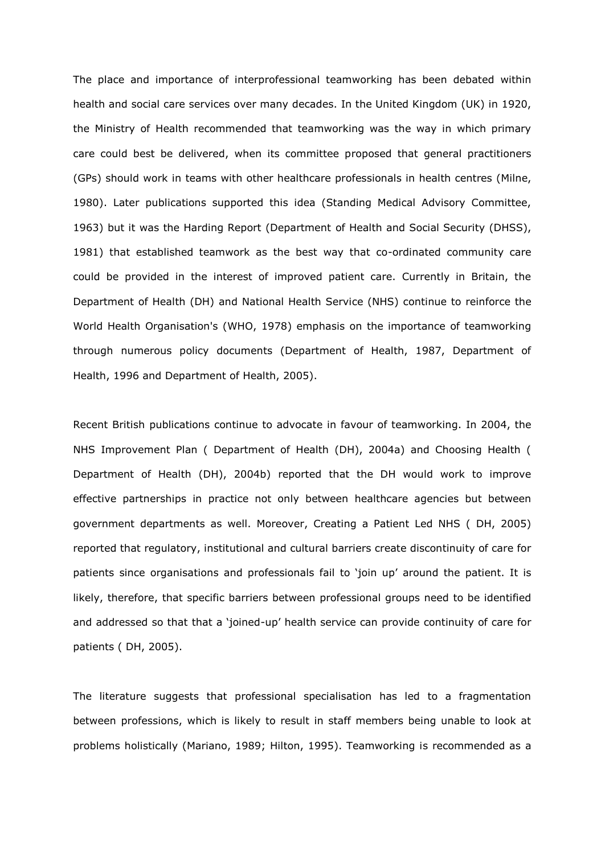The place and importance of interprofessional teamworking has been debated within health and social care services over many decades. In the United Kingdom (UK) in 1920, the Ministry of Health recommended that teamworking was the way in which primary care could best be delivered, when its committee proposed that general practitioners (GPs) should work in teams with other healthcare professionals in health centres (Milne, 1980). Later publications supported this idea (Standing Medical Advisory Committee, 1963) but it was the Harding Report (Department of Health and Social Security (DHSS), 1981) that established teamwork as the best way that co-ordinated community care could be provided in the interest of improved patient care. Currently in Britain, the Department of Health (DH) and National Health Service (NHS) continue to reinforce the World Health Organisation's (WHO, 1978) emphasis on the importance of teamworking through numerous policy documents (Department of Health, 1987, Department of Health, 1996 and Department of Health, 2005).

Recent British publications continue to advocate in favour of teamworking. In 2004, the NHS Improvement Plan ( Department of Health (DH), 2004a) and Choosing Health ( Department of Health (DH), 2004b) reported that the DH would work to improve effective partnerships in practice not only between healthcare agencies but between government departments as well. Moreover, Creating a Patient Led NHS ( DH, 2005) reported that regulatory, institutional and cultural barriers create discontinuity of care for patients since organisations and professionals fail to 'join up' around the patient. It is likely, therefore, that specific barriers between professional groups need to be identified and addressed so that that a 'joined-up' health service can provide continuity of care for patients ( DH, 2005).

The literature suggests that professional specialisation has led to a fragmentation between professions, which is likely to result in staff members being unable to look at problems holistically (Mariano, 1989; Hilton, 1995). Teamworking is recommended as a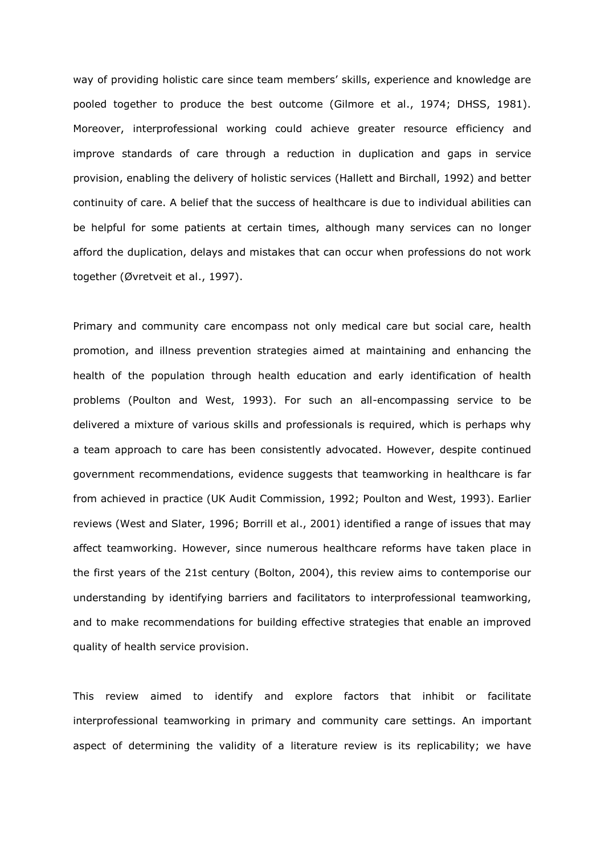way of providing holistic care since team members' skills, experience and knowledge are pooled together to produce the best outcome (Gilmore et al., 1974; DHSS, 1981). Moreover, interprofessional working could achieve greater resource efficiency and improve standards of care through a reduction in duplication and gaps in service provision, enabling the delivery of holistic services (Hallett and Birchall, 1992) and better continuity of care. A belief that the success of healthcare is due to individual abilities can be helpful for some patients at certain times, although many services can no longer afford the duplication, delays and mistakes that can occur when professions do not work together (Øvretveit et al., 1997).

Primary and community care encompass not only medical care but social care, health promotion, and illness prevention strategies aimed at maintaining and enhancing the health of the population through health education and early identification of health problems (Poulton and West, 1993). For such an all-encompassing service to be delivered a mixture of various skills and professionals is required, which is perhaps why a team approach to care has been consistently advocated. However, despite continued government recommendations, evidence suggests that teamworking in healthcare is far from achieved in practice (UK Audit Commission, 1992; Poulton and West, 1993). Earlier reviews (West and Slater, 1996; Borrill et al., 2001) identified a range of issues that may affect teamworking. However, since numerous healthcare reforms have taken place in the first years of the 21st century (Bolton, 2004), this review aims to contemporise our understanding by identifying barriers and facilitators to interprofessional teamworking, and to make recommendations for building effective strategies that enable an improved quality of health service provision.

This review aimed to identify and explore factors that inhibit or facilitate interprofessional teamworking in primary and community care settings. An important aspect of determining the validity of a literature review is its replicability; we have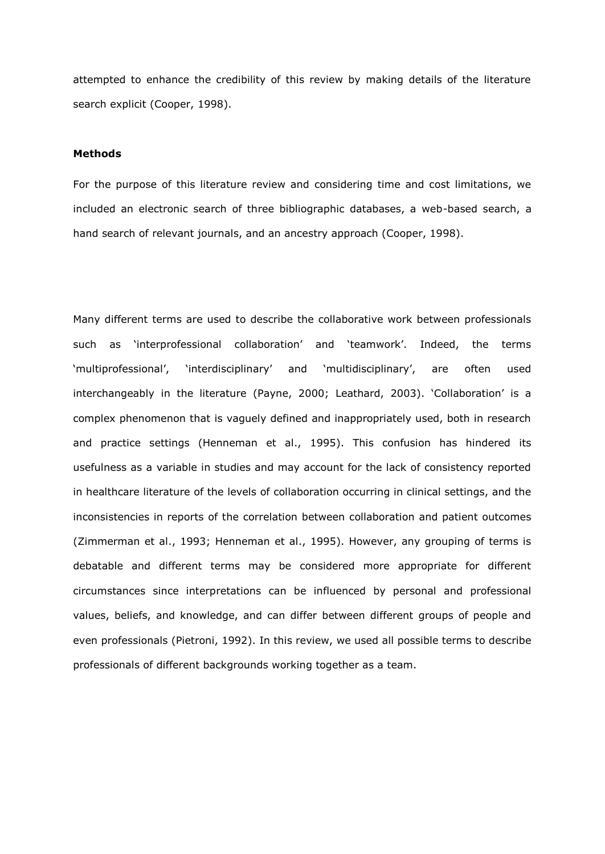attempted to enhance the credibility of this review by making details of the literature search explicit (Cooper, 1998).

### **Methods**

For the purpose of this literature review and considering time and cost limitations, we included an electronic search of three bibliographic databases, a web-based search, a hand search of relevant journals, and an ancestry approach (Cooper, 1998).

Many different terms are used to describe the collaborative work between professionals such as 'interprofessional collaboration' and 'teamwork'. Indeed, the terms 'multiprofessional', 'interdisciplinary' and 'multidisciplinary', are often used interchangeably in the literature (Payne, 2000; Leathard, 2003). 'Collaboration' is a complex phenomenon that is vaguely defined and inappropriately used, both in research and practice settings (Henneman et al., 1995). This confusion has hindered its usefulness as a variable in studies and may account for the lack of consistency reported in healthcare literature of the levels of collaboration occurring in clinical settings, and the inconsistencies in reports of the correlation between collaboration and patient outcomes (Zimmerman et al., 1993; Henneman et al., 1995). However, any grouping of terms is debatable and different terms may be considered more appropriate for different circumstances since interpretations can be influenced by personal and professional values, beliefs, and knowledge, and can differ between different groups of people and even professionals (Pietroni, 1992). In this review, we used all possible terms to describe professionals of different backgrounds working together as a team.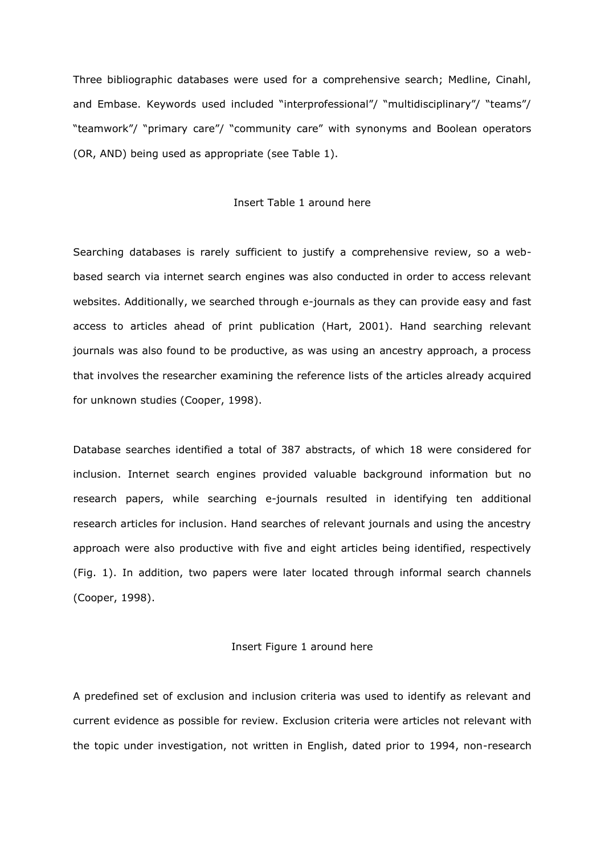Three bibliographic databases were used for a comprehensive search; Medline, Cinahl, and Embase. Keywords used included "interprofessional"/ "multidisciplinary"/ "teams"/ "teamwork"/ "primary care"/ "community care" with synonyms and Boolean operators (OR, AND) being used as appropriate (see Table 1).

#### Insert Table 1 around here

Searching databases is rarely sufficient to justify a comprehensive review, so a webbased search via internet search engines was also conducted in order to access relevant websites. Additionally, we searched through e-journals as they can provide easy and fast access to articles ahead of print publication (Hart, 2001). Hand searching relevant journals was also found to be productive, as was using an ancestry approach, a process that involves the researcher examining the reference lists of the articles already acquired for unknown studies (Cooper, 1998).

Database searches identified a total of 387 abstracts, of which 18 were considered for inclusion. Internet search engines provided valuable background information but no research papers, while searching e-journals resulted in identifying ten additional research articles for inclusion. Hand searches of relevant journals and using the ancestry approach were also productive with five and eight articles being identified, respectively (Fig. 1). In addition, two papers were later located through informal search channels (Cooper, 1998).

## Insert Figure 1 around here

A predefined set of exclusion and inclusion criteria was used to identify as relevant and current evidence as possible for review. Exclusion criteria were articles not relevant with the topic under investigation, not written in English, dated prior to 1994, non-research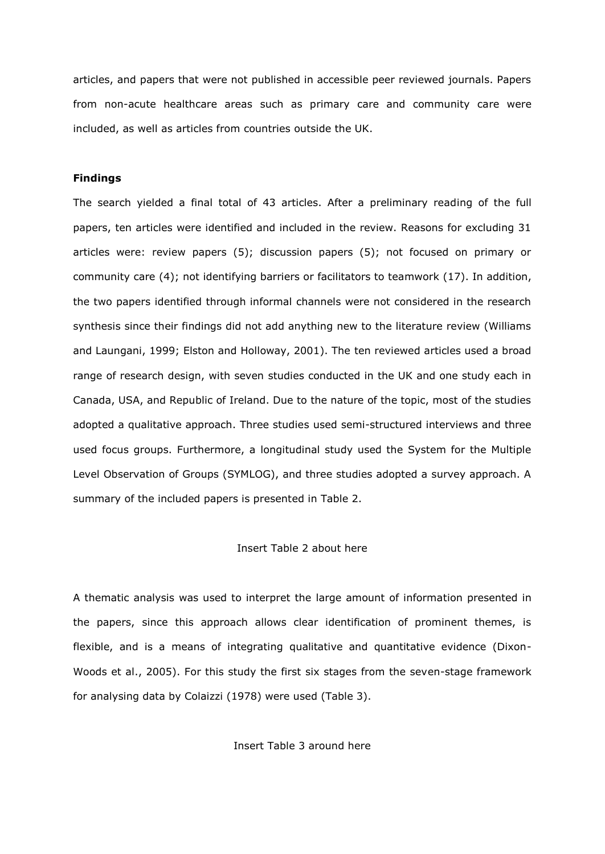articles, and papers that were not published in accessible peer reviewed journals. Papers from non-acute healthcare areas such as primary care and community care were included, as well as articles from countries outside the UK.

#### **Findings**

The search yielded a final total of 43 articles. After a preliminary reading of the full papers, ten articles were identified and included in the review. Reasons for excluding 31 articles were: review papers (5); discussion papers (5); not focused on primary or community care (4); not identifying barriers or facilitators to teamwork (17). In addition, the two papers identified through informal channels were not considered in the research synthesis since their findings did not add anything new to the literature review (Williams and Laungani, 1999; Elston and Holloway, 2001). The ten reviewed articles used a broad range of research design, with seven studies conducted in the UK and one study each in Canada, USA, and Republic of Ireland. Due to the nature of the topic, most of the studies adopted a qualitative approach. Three studies used semi-structured interviews and three used focus groups. Furthermore, a longitudinal study used the System for the Multiple Level Observation of Groups (SYMLOG), and three studies adopted a survey approach. A summary of the included papers is presented in Table 2.

# Insert Table 2 about here

A thematic analysis was used to interpret the large amount of information presented in the papers, since this approach allows clear identification of prominent themes, is flexible, and is a means of integrating qualitative and quantitative evidence (Dixon-Woods et al., 2005). For this study the first six stages from the seven-stage framework for analysing data by Colaizzi (1978) were used (Table 3).

Insert Table 3 around here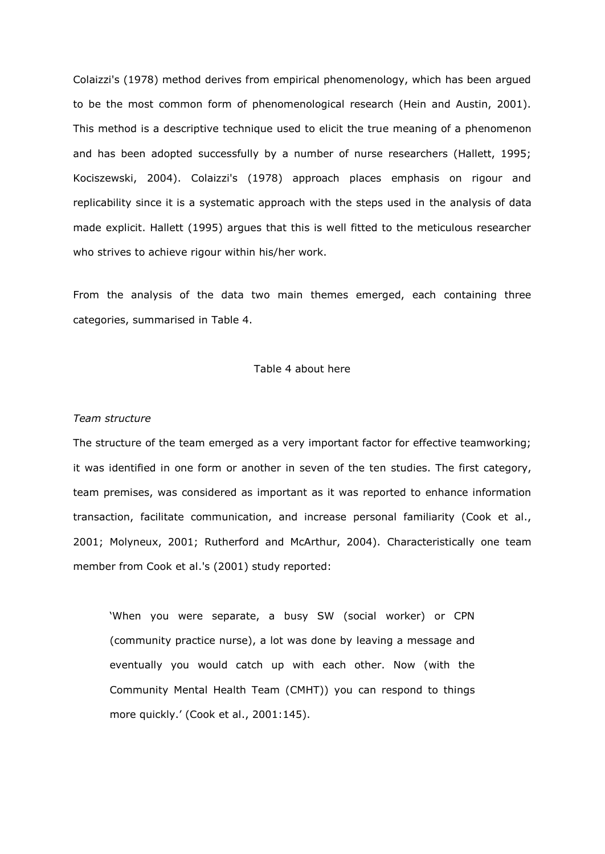Colaizzi's (1978) method derives from empirical phenomenology, which has been argued to be the most common form of phenomenological research (Hein and Austin, 2001). This method is a descriptive technique used to elicit the true meaning of a phenomenon and has been adopted successfully by a number of nurse researchers (Hallett, 1995; Kociszewski, 2004). Colaizzi's (1978) approach places emphasis on rigour and replicability since it is a systematic approach with the steps used in the analysis of data made explicit. Hallett (1995) argues that this is well fitted to the meticulous researcher who strives to achieve rigour within his/her work.

From the analysis of the data two main themes emerged, each containing three categories, summarised in Table 4.

#### Table 4 about here

## *Team structure*

The structure of the team emerged as a very important factor for effective teamworking; it was identified in one form or another in seven of the ten studies. The first category, team premises, was considered as important as it was reported to enhance information transaction, facilitate communication, and increase personal familiarity (Cook et al., 2001; Molyneux, 2001; Rutherford and McArthur, 2004). Characteristically one team member from Cook et al.'s (2001) study reported:

'When you were separate, a busy SW (social worker) or CPN (community practice nurse), a lot was done by leaving a message and eventually you would catch up with each other. Now (with the Community Mental Health Team (CMHT)) you can respond to things more quickly.' (Cook et al., 2001:145).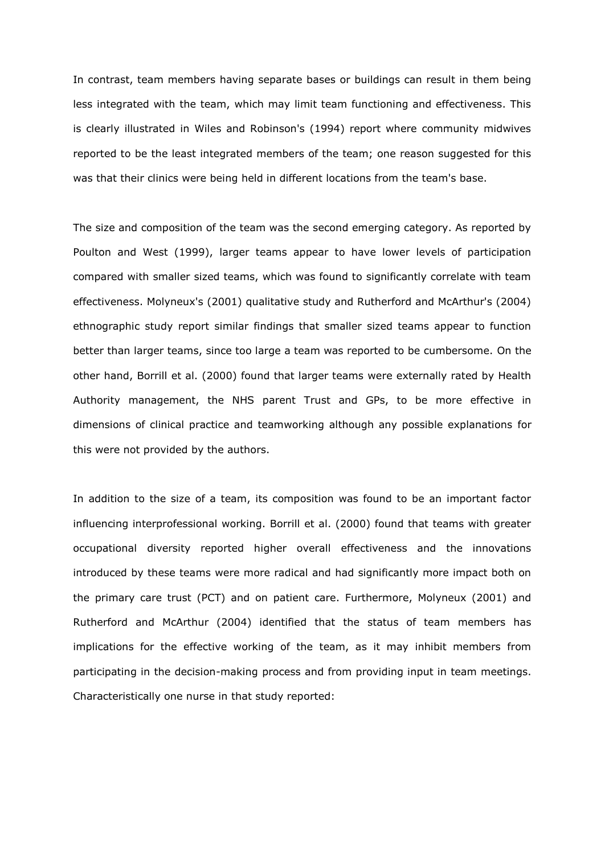In contrast, team members having separate bases or buildings can result in them being less integrated with the team, which may limit team functioning and effectiveness. This is clearly illustrated in Wiles and Robinson's (1994) report where community midwives reported to be the least integrated members of the team; one reason suggested for this was that their clinics were being held in different locations from the team's base.

The size and composition of the team was the second emerging category. As reported by Poulton and West (1999), larger teams appear to have lower levels of participation compared with smaller sized teams, which was found to significantly correlate with team effectiveness. Molyneux's (2001) qualitative study and Rutherford and McArthur's (2004) ethnographic study report similar findings that smaller sized teams appear to function better than larger teams, since too large a team was reported to be cumbersome. On the other hand, Borrill et al. (2000) found that larger teams were externally rated by Health Authority management, the NHS parent Trust and GPs, to be more effective in dimensions of clinical practice and teamworking although any possible explanations for this were not provided by the authors.

In addition to the size of a team, its composition was found to be an important factor influencing interprofessional working. Borrill et al. (2000) found that teams with greater occupational diversity reported higher overall effectiveness and the innovations introduced by these teams were more radical and had significantly more impact both on the primary care trust (PCT) and on patient care. Furthermore, Molyneux (2001) and Rutherford and McArthur (2004) identified that the status of team members has implications for the effective working of the team, as it may inhibit members from participating in the decision-making process and from providing input in team meetings. Characteristically one nurse in that study reported: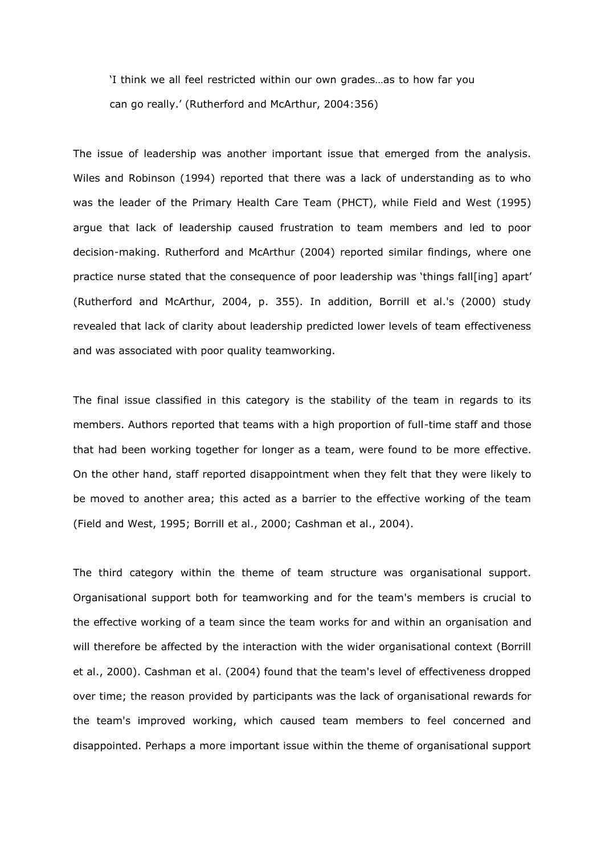'I think we all feel restricted within our own grades…as to how far you can go really.' (Rutherford and McArthur, 2004:356)

The issue of leadership was another important issue that emerged from the analysis. Wiles and Robinson (1994) reported that there was a lack of understanding as to who was the leader of the Primary Health Care Team (PHCT), while Field and West (1995) argue that lack of leadership caused frustration to team members and led to poor decision-making. Rutherford and McArthur (2004) reported similar findings, where one practice nurse stated that the consequence of poor leadership was 'things fall[ing] apart' (Rutherford and McArthur, 2004, p. 355). In addition, Borrill et al.'s (2000) study revealed that lack of clarity about leadership predicted lower levels of team effectiveness and was associated with poor quality teamworking.

The final issue classified in this category is the stability of the team in regards to its members. Authors reported that teams with a high proportion of full-time staff and those that had been working together for longer as a team, were found to be more effective. On the other hand, staff reported disappointment when they felt that they were likely to be moved to another area; this acted as a barrier to the effective working of the team (Field and West, 1995; Borrill et al., 2000; Cashman et al., 2004).

The third category within the theme of team structure was organisational support. Organisational support both for teamworking and for the team's members is crucial to the effective working of a team since the team works for and within an organisation and will therefore be affected by the interaction with the wider organisational context (Borrill et al., 2000). Cashman et al. (2004) found that the team's level of effectiveness dropped over time; the reason provided by participants was the lack of organisational rewards for the team's improved working, which caused team members to feel concerned and disappointed. Perhaps a more important issue within the theme of organisational support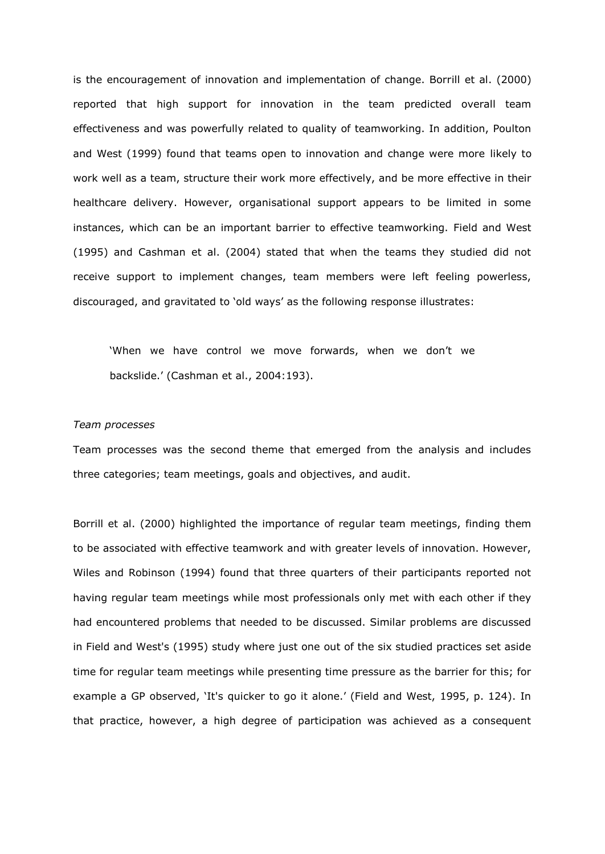is the encouragement of innovation and implementation of change. Borrill et al. (2000) reported that high support for innovation in the team predicted overall team effectiveness and was powerfully related to quality of teamworking. In addition, Poulton and West (1999) found that teams open to innovation and change were more likely to work well as a team, structure their work more effectively, and be more effective in their healthcare delivery. However, organisational support appears to be limited in some instances, which can be an important barrier to effective teamworking. Field and West (1995) and Cashman et al. (2004) stated that when the teams they studied did not receive support to implement changes, team members were left feeling powerless, discouraged, and gravitated to 'old ways' as the following response illustrates:

'When we have control we move forwards, when we don't we backslide.' (Cashman et al., 2004:193).

#### *Team processes*

Team processes was the second theme that emerged from the analysis and includes three categories; team meetings, goals and objectives, and audit.

Borrill et al. (2000) highlighted the importance of regular team meetings, finding them to be associated with effective teamwork and with greater levels of innovation. However, Wiles and Robinson (1994) found that three quarters of their participants reported not having regular team meetings while most professionals only met with each other if they had encountered problems that needed to be discussed. Similar problems are discussed in Field and West's (1995) study where just one out of the six studied practices set aside time for regular team meetings while presenting time pressure as the barrier for this; for example a GP observed, 'It's quicker to go it alone.' (Field and West, 1995, p. 124). In that practice, however, a high degree of participation was achieved as a consequent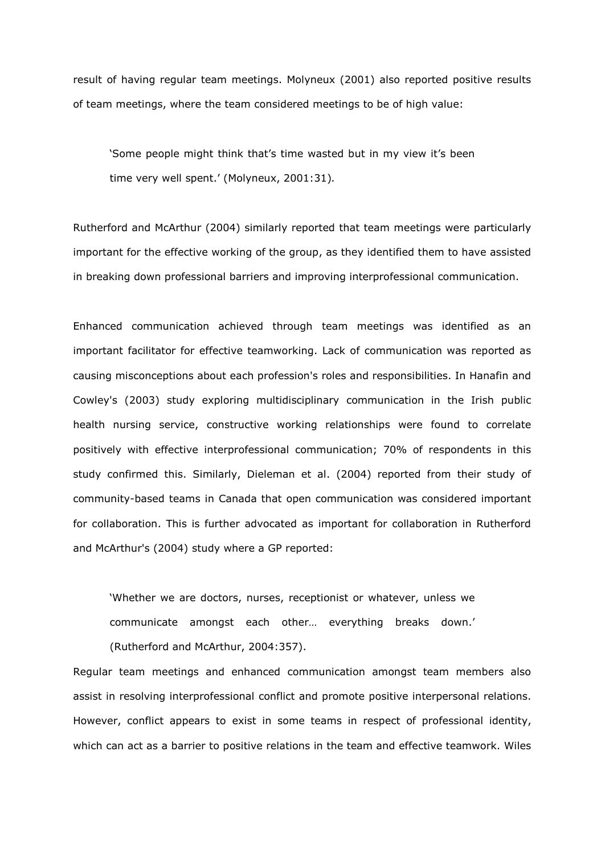result of having regular team meetings. Molyneux (2001) also reported positive results of team meetings, where the team considered meetings to be of high value:

'Some people might think that's time wasted but in my view it's been time very well spent.' (Molyneux, 2001:31)*.* 

Rutherford and McArthur (2004) similarly reported that team meetings were particularly important for the effective working of the group, as they identified them to have assisted in breaking down professional barriers and improving interprofessional communication.

Enhanced communication achieved through team meetings was identified as an important facilitator for effective teamworking. Lack of communication was reported as causing misconceptions about each profession's roles and responsibilities. In Hanafin and Cowley's (2003) study exploring multidisciplinary communication in the Irish public health nursing service, constructive working relationships were found to correlate positively with effective interprofessional communication; 70% of respondents in this study confirmed this. Similarly, Dieleman et al. (2004) reported from their study of community-based teams in Canada that open communication was considered important for collaboration. This is further advocated as important for collaboration in Rutherford and McArthur's (2004) study where a GP reported:

'Whether we are doctors, nurses, receptionist or whatever, unless we communicate amongst each other… everything breaks down.' (Rutherford and McArthur, 2004:357).

Regular team meetings and enhanced communication amongst team members also assist in resolving interprofessional conflict and promote positive interpersonal relations. However, conflict appears to exist in some teams in respect of professional identity, which can act as a barrier to positive relations in the team and effective teamwork. Wiles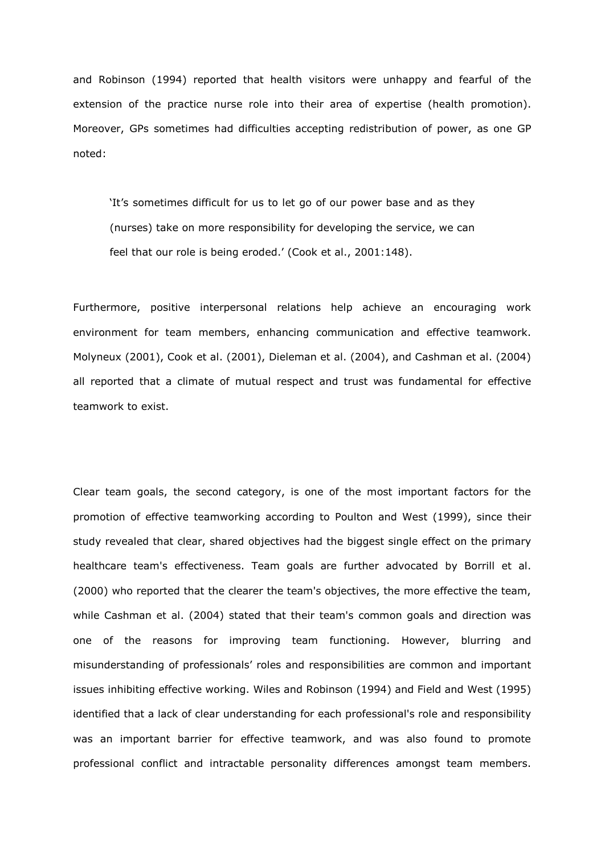and Robinson (1994) reported that health visitors were unhappy and fearful of the extension of the practice nurse role into their area of expertise (health promotion). Moreover, GPs sometimes had difficulties accepting redistribution of power, as one GP noted:

'It's sometimes difficult for us to let go of our power base and as they (nurses) take on more responsibility for developing the service, we can feel that our role is being eroded.' (Cook et al., 2001:148).

Furthermore, positive interpersonal relations help achieve an encouraging work environment for team members, enhancing communication and effective teamwork. Molyneux (2001), Cook et al. (2001), Dieleman et al. (2004), and Cashman et al. (2004) all reported that a climate of mutual respect and trust was fundamental for effective teamwork to exist.

Clear team goals, the second category, is one of the most important factors for the promotion of effective teamworking according to Poulton and West (1999), since their study revealed that clear, shared objectives had the biggest single effect on the primary healthcare team's effectiveness. Team goals are further advocated by Borrill et al. (2000) who reported that the clearer the team's objectives, the more effective the team, while Cashman et al. (2004) stated that their team's common goals and direction was one of the reasons for improving team functioning. However, blurring and misunderstanding of professionals' roles and responsibilities are common and important issues inhibiting effective working. Wiles and Robinson (1994) and Field and West (1995) identified that a lack of clear understanding for each professional's role and responsibility was an important barrier for effective teamwork, and was also found to promote professional conflict and intractable personality differences amongst team members.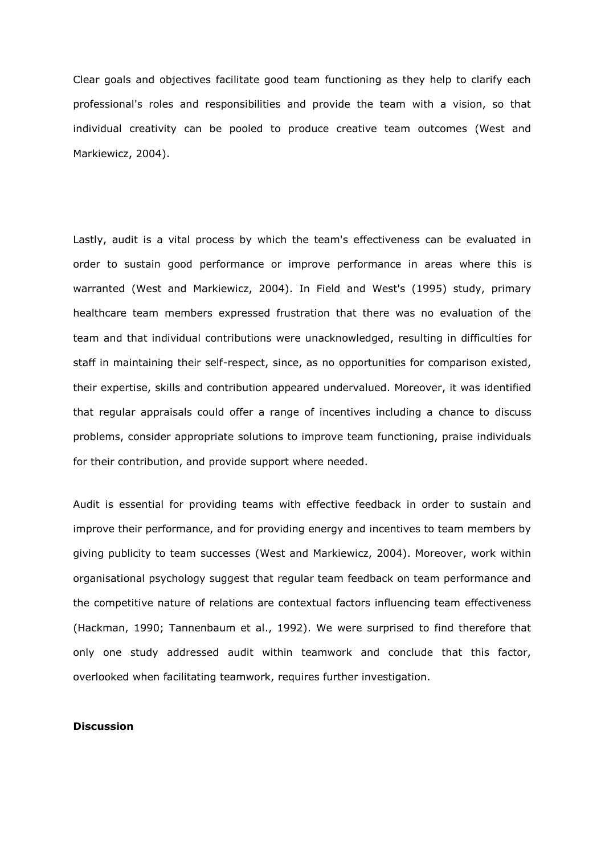Clear goals and objectives facilitate good team functioning as they help to clarify each professional's roles and responsibilities and provide the team with a vision, so that individual creativity can be pooled to produce creative team outcomes (West and Markiewicz, 2004).

Lastly, audit is a vital process by which the team's effectiveness can be evaluated in order to sustain good performance or improve performance in areas where this is warranted (West and Markiewicz, 2004). In Field and West's (1995) study, primary healthcare team members expressed frustration that there was no evaluation of the team and that individual contributions were unacknowledged, resulting in difficulties for staff in maintaining their self-respect, since, as no opportunities for comparison existed, their expertise, skills and contribution appeared undervalued. Moreover, it was identified that regular appraisals could offer a range of incentives including a chance to discuss problems, consider appropriate solutions to improve team functioning, praise individuals for their contribution, and provide support where needed.

Audit is essential for providing teams with effective feedback in order to sustain and improve their performance, and for providing energy and incentives to team members by giving publicity to team successes (West and Markiewicz, 2004). Moreover, work within organisational psychology suggest that regular team feedback on team performance and the competitive nature of relations are contextual factors influencing team effectiveness (Hackman, 1990; Tannenbaum et al., 1992). We were surprised to find therefore that only one study addressed audit within teamwork and conclude that this factor, overlooked when facilitating teamwork, requires further investigation.

# **Discussion**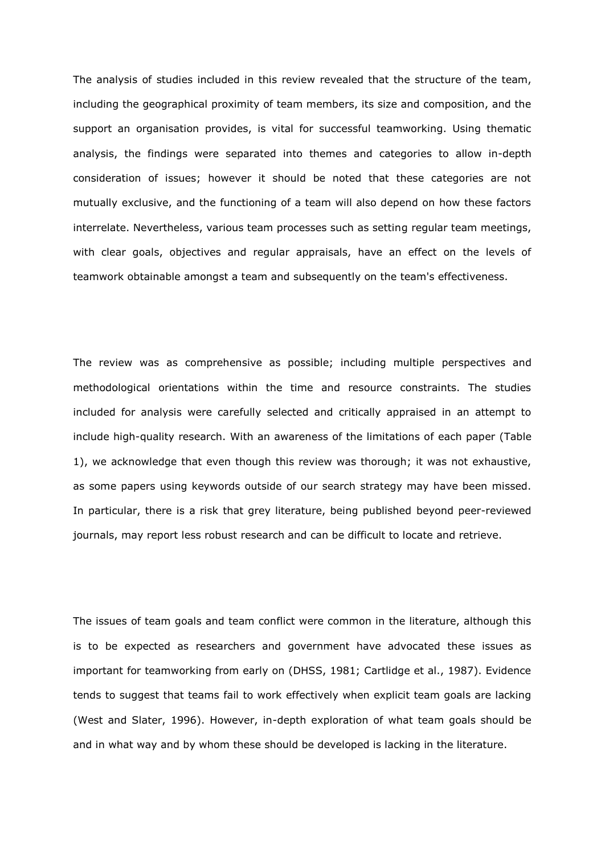The analysis of studies included in this review revealed that the structure of the team, including the geographical proximity of team members, its size and composition, and the support an organisation provides, is vital for successful teamworking. Using thematic analysis, the findings were separated into themes and categories to allow in-depth consideration of issues; however it should be noted that these categories are not mutually exclusive, and the functioning of a team will also depend on how these factors interrelate. Nevertheless, various team processes such as setting regular team meetings, with clear goals, objectives and regular appraisals, have an effect on the levels of teamwork obtainable amongst a team and subsequently on the team's effectiveness.

The review was as comprehensive as possible; including multiple perspectives and methodological orientations within the time and resource constraints. The studies included for analysis were carefully selected and critically appraised in an attempt to include high-quality research. With an awareness of the limitations of each paper (Table 1), we acknowledge that even though this review was thorough; it was not exhaustive, as some papers using keywords outside of our search strategy may have been missed. In particular, there is a risk that grey literature, being published beyond peer-reviewed journals, may report less robust research and can be difficult to locate and retrieve.

The issues of team goals and team conflict were common in the literature, although this is to be expected as researchers and government have advocated these issues as important for teamworking from early on (DHSS, 1981; Cartlidge et al., 1987). Evidence tends to suggest that teams fail to work effectively when explicit team goals are lacking (West and Slater, 1996). However, in-depth exploration of what team goals should be and in what way and by whom these should be developed is lacking in the literature.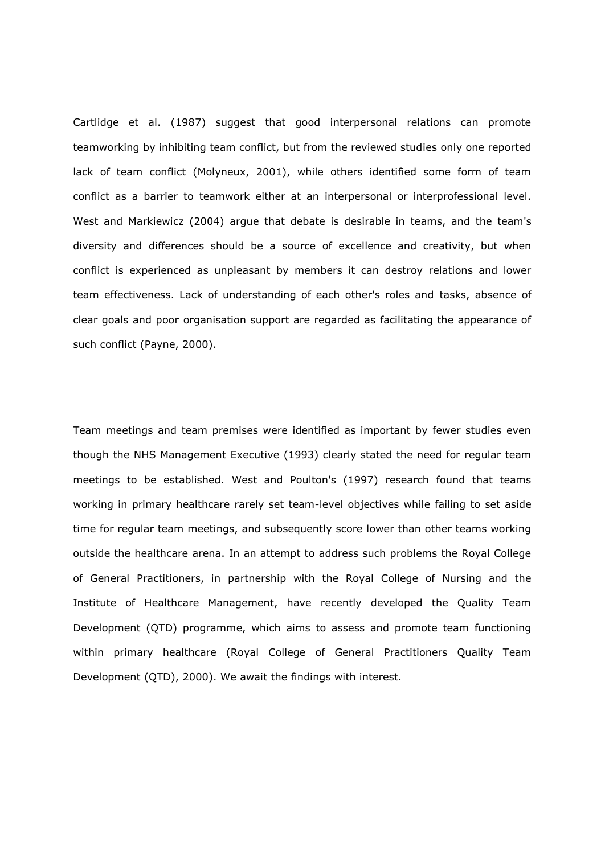Cartlidge et al. (1987) suggest that good interpersonal relations can promote teamworking by inhibiting team conflict, but from the reviewed studies only one reported lack of team conflict (Molyneux, 2001), while others identified some form of team conflict as a barrier to teamwork either at an interpersonal or interprofessional level. West and Markiewicz (2004) argue that debate is desirable in teams, and the team's diversity and differences should be a source of excellence and creativity, but when conflict is experienced as unpleasant by members it can destroy relations and lower team effectiveness. Lack of understanding of each other's roles and tasks, absence of clear goals and poor organisation support are regarded as facilitating the appearance of such conflict (Payne, 2000).

Team meetings and team premises were identified as important by fewer studies even though the NHS Management Executive (1993) clearly stated the need for regular team meetings to be established. West and Poulton's (1997) research found that teams working in primary healthcare rarely set team-level objectives while failing to set aside time for regular team meetings, and subsequently score lower than other teams working outside the healthcare arena. In an attempt to address such problems the Royal College of General Practitioners, in partnership with the Royal College of Nursing and the Institute of Healthcare Management, have recently developed the Quality Team Development (QTD) programme, which aims to assess and promote team functioning within primary healthcare (Royal College of General Practitioners Quality Team Development (QTD), 2000). We await the findings with interest.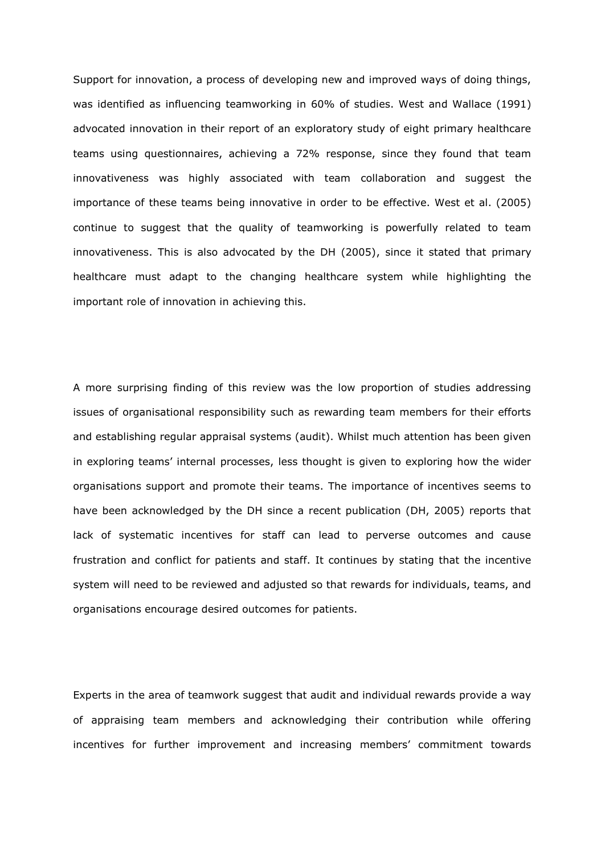Support for innovation, a process of developing new and improved ways of doing things, was identified as influencing teamworking in 60% of studies. West and Wallace (1991) advocated innovation in their report of an exploratory study of eight primary healthcare teams using questionnaires, achieving a 72% response, since they found that team innovativeness was highly associated with team collaboration and suggest the importance of these teams being innovative in order to be effective. West et al. (2005) continue to suggest that the quality of teamworking is powerfully related to team innovativeness. This is also advocated by the DH (2005), since it stated that primary healthcare must adapt to the changing healthcare system while highlighting the important role of innovation in achieving this.

A more surprising finding of this review was the low proportion of studies addressing issues of organisational responsibility such as rewarding team members for their efforts and establishing regular appraisal systems (audit). Whilst much attention has been given in exploring teams' internal processes, less thought is given to exploring how the wider organisations support and promote their teams. The importance of incentives seems to have been acknowledged by the DH since a recent publication (DH, 2005) reports that lack of systematic incentives for staff can lead to perverse outcomes and cause frustration and conflict for patients and staff. It continues by stating that the incentive system will need to be reviewed and adjusted so that rewards for individuals, teams, and organisations encourage desired outcomes for patients.

Experts in the area of teamwork suggest that audit and individual rewards provide a way of appraising team members and acknowledging their contribution while offering incentives for further improvement and increasing members' commitment towards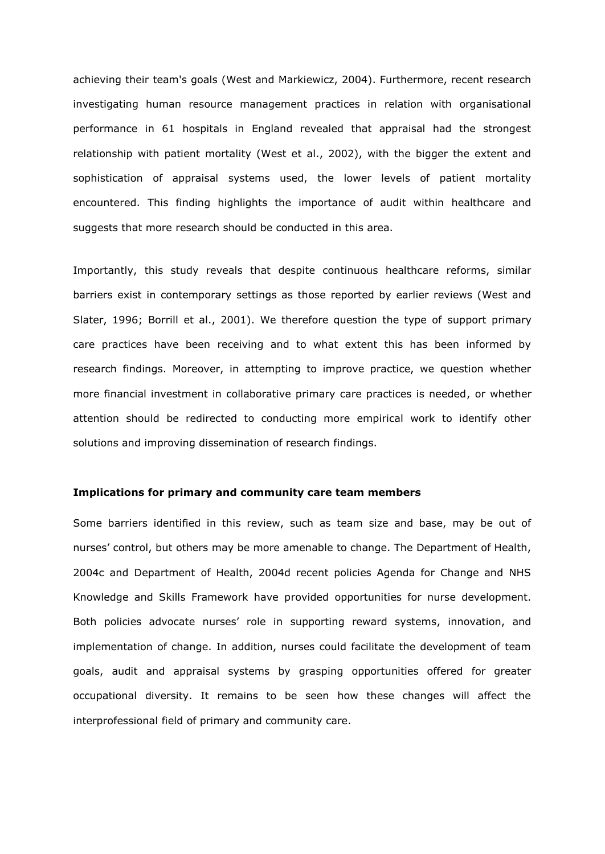achieving their team's goals (West and Markiewicz, 2004). Furthermore, recent research investigating human resource management practices in relation with organisational performance in 61 hospitals in England revealed that appraisal had the strongest relationship with patient mortality (West et al., 2002), with the bigger the extent and sophistication of appraisal systems used, the lower levels of patient mortality encountered. This finding highlights the importance of audit within healthcare and suggests that more research should be conducted in this area.

Importantly, this study reveals that despite continuous healthcare reforms, similar barriers exist in contemporary settings as those reported by earlier reviews (West and Slater, 1996; Borrill et al., 2001). We therefore question the type of support primary care practices have been receiving and to what extent this has been informed by research findings. Moreover, in attempting to improve practice, we question whether more financial investment in collaborative primary care practices is needed, or whether attention should be redirected to conducting more empirical work to identify other solutions and improving dissemination of research findings.

# **Implications for primary and community care team members**

Some barriers identified in this review, such as team size and base, may be out of nurses' control, but others may be more amenable to change. The Department of Health, 2004c and Department of Health, 2004d recent policies Agenda for Change and NHS Knowledge and Skills Framework have provided opportunities for nurse development. Both policies advocate nurses' role in supporting reward systems, innovation, and implementation of change. In addition, nurses could facilitate the development of team goals, audit and appraisal systems by grasping opportunities offered for greater occupational diversity. It remains to be seen how these changes will affect the interprofessional field of primary and community care.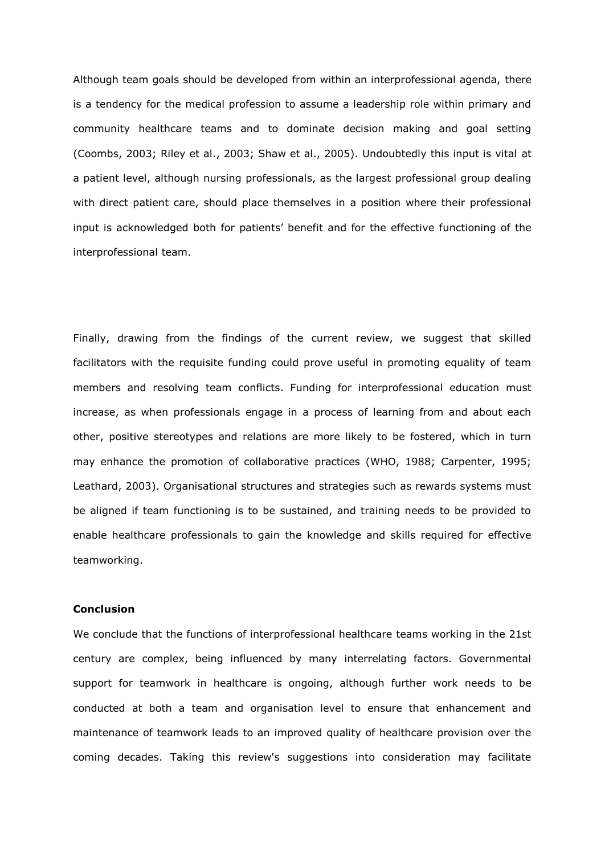Although team goals should be developed from within an interprofessional agenda, there is a tendency for the medical profession to assume a leadership role within primary and community healthcare teams and to dominate decision making and goal setting (Coombs, 2003; Riley et al., 2003; Shaw et al., 2005). Undoubtedly this input is vital at a patient level, although nursing professionals, as the largest professional group dealing with direct patient care, should place themselves in a position where their professional input is acknowledged both for patients' benefit and for the effective functioning of the interprofessional team.

Finally, drawing from the findings of the current review, we suggest that skilled facilitators with the requisite funding could prove useful in promoting equality of team members and resolving team conflicts. Funding for interprofessional education must increase, as when professionals engage in a process of learning from and about each other, positive stereotypes and relations are more likely to be fostered, which in turn may enhance the promotion of collaborative practices (WHO, 1988; Carpenter, 1995; Leathard, 2003). Organisational structures and strategies such as rewards systems must be aligned if team functioning is to be sustained, and training needs to be provided to enable healthcare professionals to gain the knowledge and skills required for effective teamworking.

## **Conclusion**

We conclude that the functions of interprofessional healthcare teams working in the 21st century are complex, being influenced by many interrelating factors. Governmental support for teamwork in healthcare is ongoing, although further work needs to be conducted at both a team and organisation level to ensure that enhancement and maintenance of teamwork leads to an improved quality of healthcare provision over the coming decades. Taking this review's suggestions into consideration may facilitate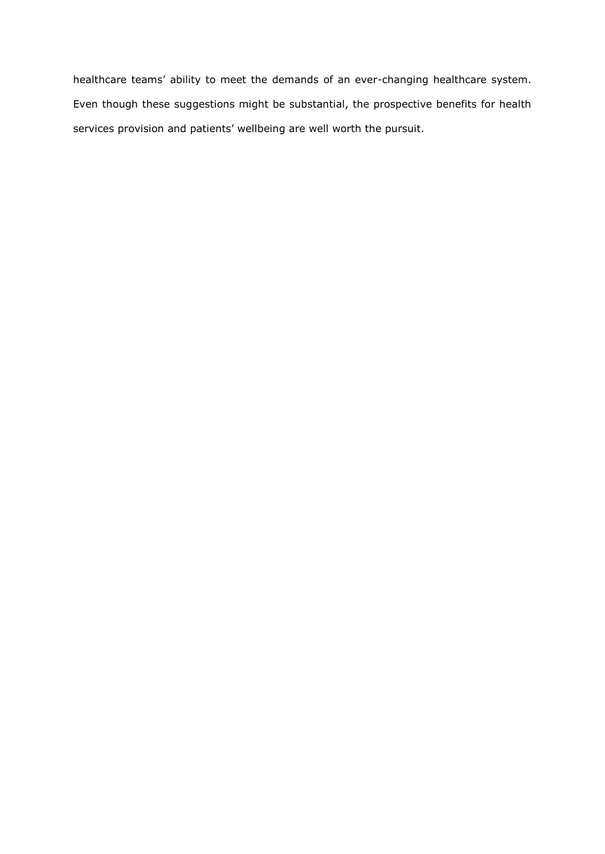healthcare teams' ability to meet the demands of an ever-changing healthcare system. Even though these suggestions might be substantial, the prospective benefits for health services provision and patients' wellbeing are well worth the pursuit.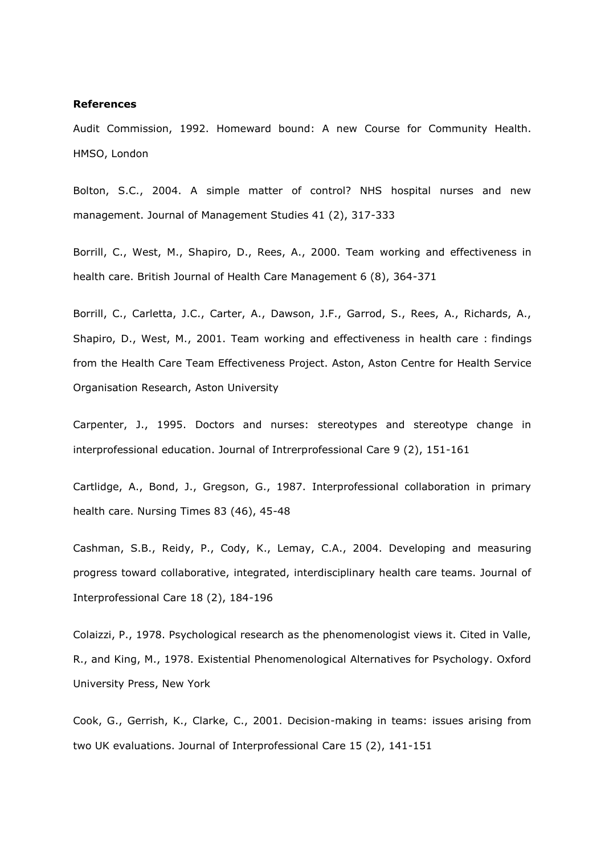#### **References**

Audit Commission, 1992. Homeward bound: A new Course for Community Health. HMSO, London

Bolton, S.C., 2004. A simple matter of control? NHS hospital nurses and new management. Journal of Management Studies 41 (2), 317-333

Borrill, C., West, M., Shapiro, D., Rees, A., 2000. Team working and effectiveness in health care. British Journal of Health Care Management 6 (8), 364-371

Borrill, C., Carletta, J.C., Carter, A., Dawson, J.F., Garrod, S., Rees, A., Richards, A., Shapiro, D., West, M., 2001. Team working and effectiveness in health care : findings from the Health Care Team Effectiveness Project. Aston, Aston Centre for Health Service Organisation Research, Aston University

Carpenter, J., 1995. Doctors and nurses: stereotypes and stereotype change in interprofessional education. Journal of Intrerprofessional Care 9 (2), 151-161

Cartlidge, A., Bond, J., Gregson, G., 1987. Interprofessional collaboration in primary health care. Nursing Times 83 (46), 45-48

Cashman, S.B., Reidy, P., Cody, K., Lemay, C.A., 2004. Developing and measuring progress toward collaborative, integrated, interdisciplinary health care teams. Journal of Interprofessional Care 18 (2), 184-196

Colaizzi, P., 1978. Psychological research as the phenomenologist views it. Cited in Valle, R., and King, M., 1978. Existential Phenomenological Alternatives for Psychology. Oxford University Press, New York

Cook, G., Gerrish, K., Clarke, C., 2001. Decision-making in teams: issues arising from two UK evaluations. Journal of Interprofessional Care 15 (2), 141-151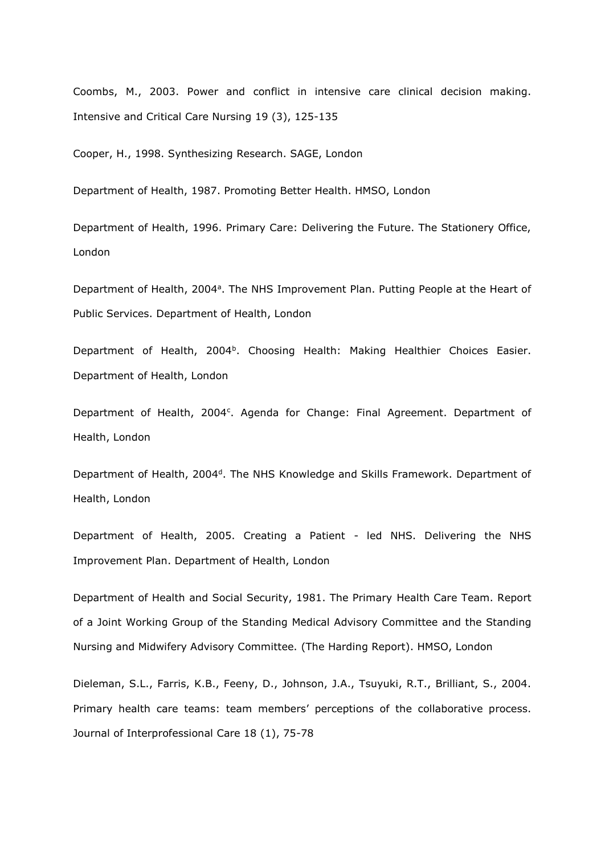Coombs, M., 2003. Power and conflict in intensive care clinical decision making. Intensive and Critical Care Nursing 19 (3), 125-135

Cooper, H., 1998. Synthesizing Research. SAGE, London

Department of Health, 1987. Promoting Better Health. HMSO, London

Department of Health, 1996. Primary Care: Delivering the Future. The Stationery Office, London

Department of Health, 2004<sup>a</sup>. The NHS Improvement Plan. Putting People at the Heart of Public Services. Department of Health, London

Department of Health, 2004<sup>b</sup>. Choosing Health: Making Healthier Choices Easier. Department of Health, London

Department of Health, 2004<sup>c</sup>. Agenda for Change: Final Agreement. Department of Health, London

Department of Health, 2004<sup>d</sup>. The NHS Knowledge and Skills Framework. Department of Health, London

Department of Health, 2005. Creating a Patient - led NHS. Delivering the NHS Improvement Plan. Department of Health, London

Department of Health and Social Security, 1981. The Primary Health Care Team. Report of a Joint Working Group of the Standing Medical Advisory Committee and the Standing Nursing and Midwifery Advisory Committee. (The Harding Report). HMSO, London

Dieleman, S.L., Farris, K.B., Feeny, D., Johnson, J.A., Tsuyuki, R.T., Brilliant, S., 2004. Primary health care teams: team members' perceptions of the collaborative process. Journal of Interprofessional Care 18 (1), 75-78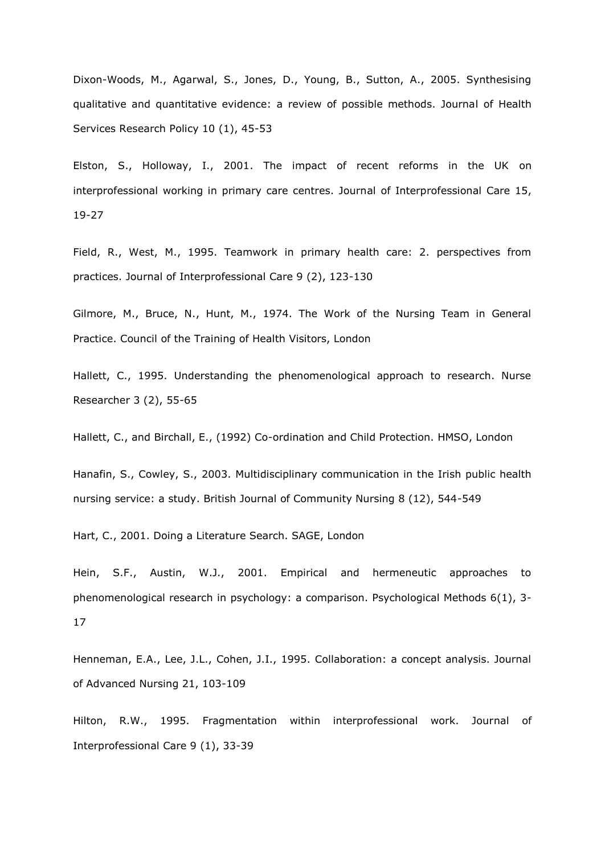Dixon-Woods, M., Agarwal, S., Jones, D., Young, B., Sutton, A., 2005. Synthesising qualitative and quantitative evidence: a review of possible methods. Journal of Health Services Research Policy 10 (1), 45-53

Elston, S., Holloway, I., 2001. The impact of recent reforms in the UK on interprofessional working in primary care centres. Journal of Interprofessional Care 15, 19-27

Field, R., West, M., 1995. Teamwork in primary health care: 2. perspectives from practices. Journal of Interprofessional Care 9 (2), 123-130

Gilmore, M., Bruce, N., Hunt, M., 1974. The Work of the Nursing Team in General Practice. Council of the Training of Health Visitors, London

Hallett, C., 1995. Understanding the phenomenological approach to research. Nurse Researcher 3 (2), 55-65

Hallett, C., and Birchall, E., (1992) Co-ordination and Child Protection. HMSO, London

Hanafin, S., Cowley, S., 2003. Multidisciplinary communication in the Irish public health nursing service: a study. British Journal of Community Nursing 8 (12), 544-549

Hart, C., 2001. Doing a Literature Search. SAGE, London

Hein, S.F., Austin, W.J., 2001. Empirical and hermeneutic approaches to phenomenological research in psychology: a comparison. Psychological Methods 6(1), 3- 17

Henneman, E.A., Lee, J.L., Cohen, J.I., 1995. Collaboration: a concept analysis. Journal of Advanced Nursing 21, 103-109

Hilton, R.W., 1995. Fragmentation within interprofessional work. Journal of Interprofessional Care 9 (1), 33-39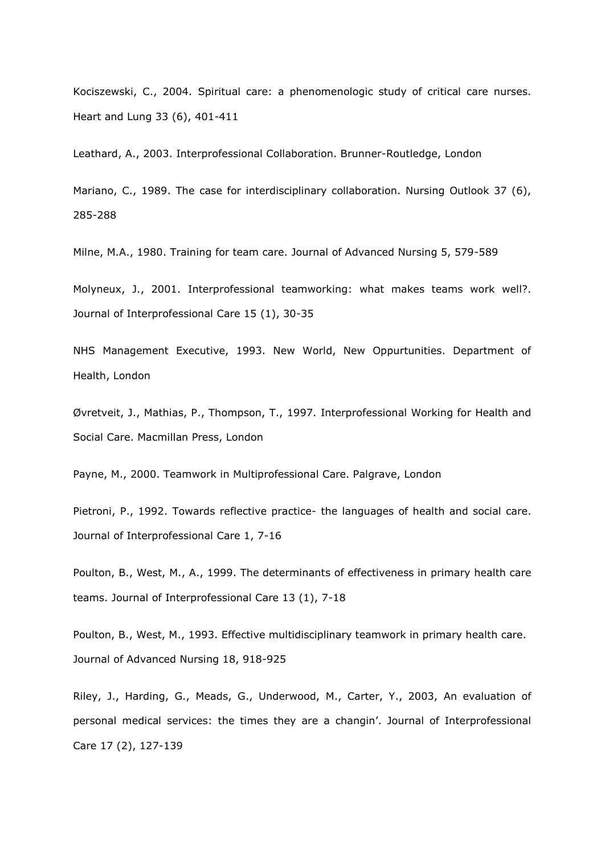Kociszewski, C., 2004. Spiritual care: a phenomenologic study of critical care nurses. Heart and Lung 33 (6), 401-411

Leathard, A., 2003. Interprofessional Collaboration. Brunner-Routledge, London

Mariano, C., 1989. The case for interdisciplinary collaboration. Nursing Outlook 37 (6), 285-288

Milne, M.A., 1980. Training for team care. Journal of Advanced Nursing 5, 579-589

Molyneux, J., 2001. Interprofessional teamworking: what makes teams work well?. Journal of Interprofessional Care 15 (1), 30-35

NHS Management Executive, 1993. New World, New Oppurtunities. Department of Health, London

Øvretveit, J., Mathias, P., Thompson, T., 1997. Interprofessional Working for Health and Social Care. Macmillan Press, London

Payne, M., 2000. Teamwork in Multiprofessional Care. Palgrave, London

Pietroni, P., 1992. Towards reflective practice- the languages of health and social care. Journal of Interprofessional Care 1, 7-16

Poulton, B., West, M., A., 1999. The determinants of effectiveness in primary health care teams. Journal of Interprofessional Care 13 (1), 7-18

Poulton, B., West, M., 1993. Effective multidisciplinary teamwork in primary health care. Journal of Advanced Nursing 18, 918-925

Riley, J., Harding, G., Meads, G., Underwood, M., Carter, Y., 2003, An evaluation of personal medical services: the times they are a changin'. Journal of Interprofessional Care 17 (2), 127-139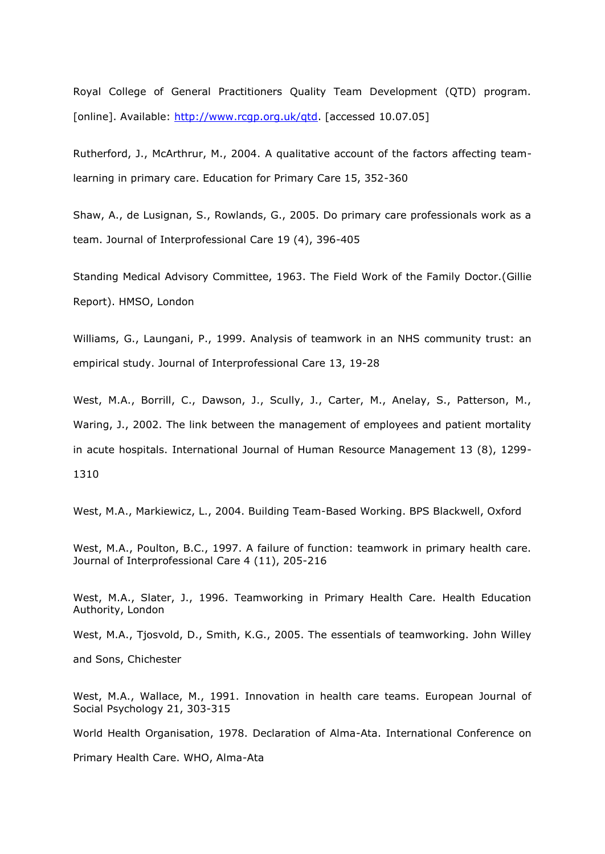Royal College of General Practitioners Quality Team Development (QTD) program. [online]. Available: http://www.rcqp.org.uk/qtd. [accessed 10.07.05]

Rutherford, J., McArthrur, M., 2004. A qualitative account of the factors affecting teamlearning in primary care. Education for Primary Care 15, 352-360

Shaw, A., de Lusignan, S., Rowlands, G., 2005. Do primary care professionals work as a team. Journal of Interprofessional Care 19 (4), 396-405

Standing Medical Advisory Committee, 1963. The Field Work of the Family Doctor.(Gillie Report). HMSO, London

Williams, G., Laungani, P., 1999. Analysis of teamwork in an NHS community trust: an empirical study. Journal of Interprofessional Care 13, 19-28

West, M.A., Borrill, C., Dawson, J., Scully, J., Carter, M., Anelay, S., Patterson, M., Waring, J., 2002. The link between the management of employees and patient mortality in acute hospitals. International Journal of Human Resource Management 13 (8), 1299- 1310

West, M.A., Markiewicz, L., 2004. Building Team-Based Working. BPS Blackwell, Oxford

West, M.A., Poulton, B.C., 1997. A failure of function: teamwork in primary health care. Journal of Interprofessional Care 4 (11), 205-216

West, M.A., Slater, J., 1996. Teamworking in Primary Health Care. Health Education Authority, London

West, M.A., Tjosvold, D., Smith, K.G., 2005. The essentials of teamworking. John Willey and Sons, Chichester

West, M.A., Wallace, M., 1991. Innovation in health care teams. European Journal of Social Psychology 21, 303-315

World Health Organisation, 1978. Declaration of Alma-Ata. International Conference on

Primary Health Care. WHO, Alma-Ata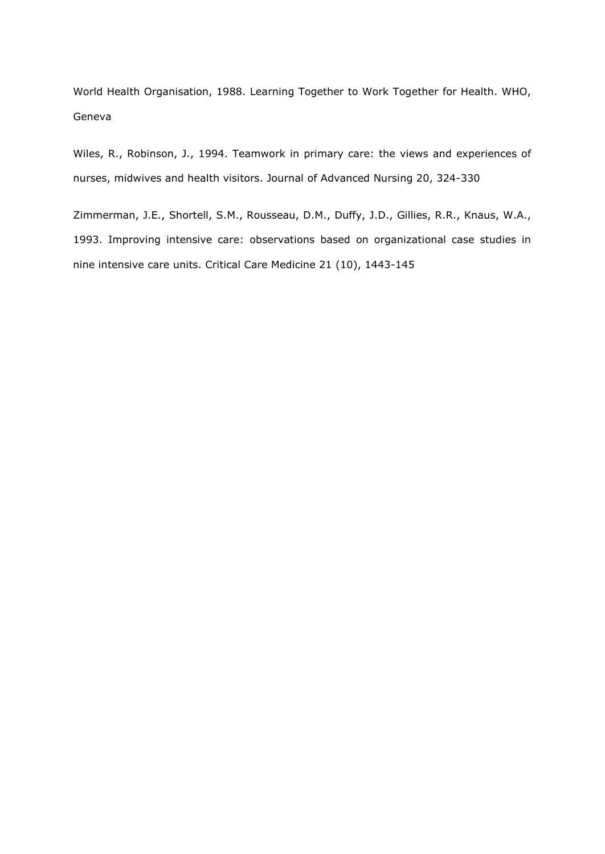World Health Organisation, 1988. Learning Together to Work Together for Health. WHO, Geneva

Wiles, R., Robinson, J., 1994. Teamwork in primary care: the views and experiences of nurses, midwives and health visitors. Journal of Advanced Nursing 20, 324-330

Zimmerman, J.E., Shortell, S.M., Rousseau, D.M., Duffy, J.D., Gillies, R.R., Knaus, W.A., 1993. Improving intensive care: observations based on organizational case studies in nine intensive care units. Critical Care Medicine 21 (10), 1443-145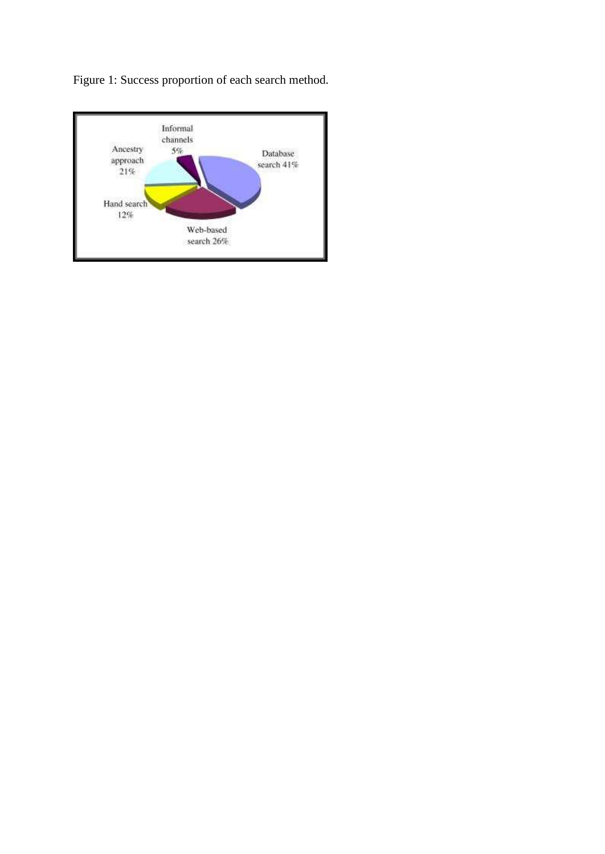Figure 1: Success proportion of each search method.

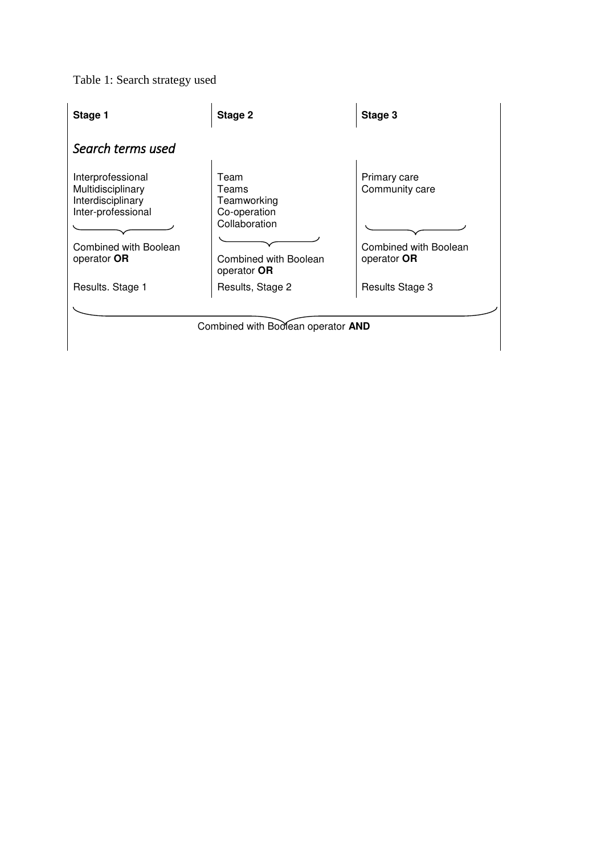# Table 1: Search strategy used

| Stage 1                                                                                                                   | Stage 2                                                                                               | Stage 3                                                                |
|---------------------------------------------------------------------------------------------------------------------------|-------------------------------------------------------------------------------------------------------|------------------------------------------------------------------------|
| Search terms used                                                                                                         |                                                                                                       |                                                                        |
| Interprofessional<br>Multidisciplinary<br>Interdisciplinary<br>Inter-professional<br>Combined with Boolean<br>operator OR | Team<br>Teams<br>Teamworking<br>Co-operation<br>Collaboration<br>Combined with Boolean<br>operator OR | Primary care<br>Community care<br>Combined with Boolean<br>operator OR |
| Results. Stage 1                                                                                                          | Results, Stage 2                                                                                      | Results Stage 3                                                        |
|                                                                                                                           | Combined with Boolean operator AND                                                                    |                                                                        |
|                                                                                                                           |                                                                                                       |                                                                        |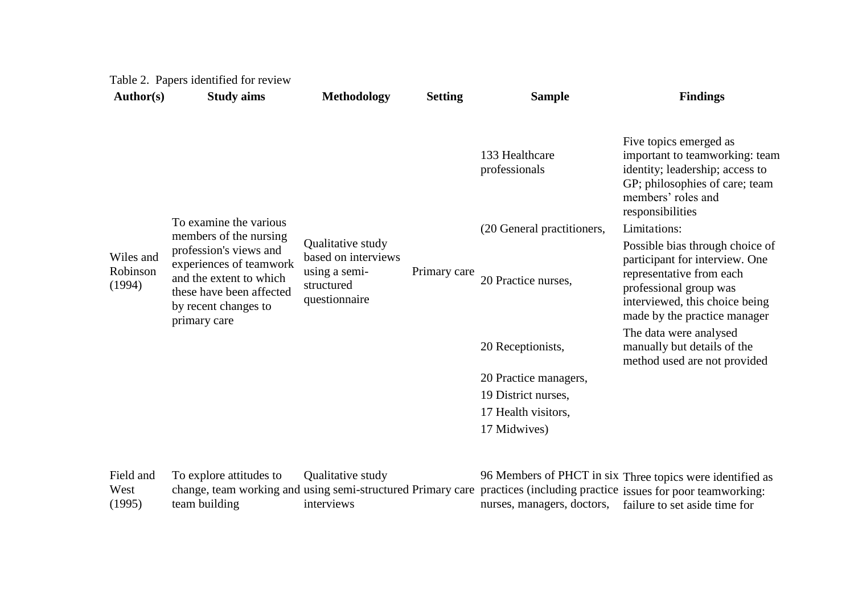| <b>Author(s)</b>                | <b>Study aims</b>                                                                                                                                                          | <b>Methodology</b>                                                                       | <b>Setting</b> | <b>Sample</b>                   | <b>Findings</b>                                                                                                                                                                           |
|---------------------------------|----------------------------------------------------------------------------------------------------------------------------------------------------------------------------|------------------------------------------------------------------------------------------|----------------|---------------------------------|-------------------------------------------------------------------------------------------------------------------------------------------------------------------------------------------|
|                                 |                                                                                                                                                                            |                                                                                          |                | 133 Healthcare<br>professionals | Five topics emerged as<br>important to teamworking: team<br>identity; leadership; access to<br>GP; philosophies of care; team<br>members' roles and<br>responsibilities                   |
|                                 | To examine the various                                                                                                                                                     |                                                                                          |                | (20 General practitioners,      | Limitations:                                                                                                                                                                              |
| Wiles and<br>Robinson<br>(1994) | members of the nursing<br>profession's views and<br>experiences of teamwork<br>and the extent to which<br>these have been affected<br>by recent changes to<br>primary care | Qualitative study<br>based on interviews<br>using a semi-<br>structured<br>questionnaire | Primary care   | 20 Practice nurses,             | Possible bias through choice of<br>participant for interview. One<br>representative from each<br>professional group was<br>interviewed, this choice being<br>made by the practice manager |
|                                 |                                                                                                                                                                            |                                                                                          |                | 20 Receptionists,               | The data were analysed<br>manually but details of the<br>method used are not provided                                                                                                     |
|                                 |                                                                                                                                                                            |                                                                                          |                | 20 Practice managers,           |                                                                                                                                                                                           |
|                                 |                                                                                                                                                                            |                                                                                          |                | 19 District nurses,             |                                                                                                                                                                                           |
|                                 |                                                                                                                                                                            |                                                                                          |                | 17 Health visitors,             |                                                                                                                                                                                           |
|                                 |                                                                                                                                                                            |                                                                                          |                | 17 Midwives)                    |                                                                                                                                                                                           |
| Field and<br>West               | To explore attitudes to                                                                                                                                                    | Qualitative study                                                                        |                |                                 | 96 Members of PHCT in six Three topics were identified as<br>change, team working and using semi-structured Primary care practices (including practice issues for poor teamworking:       |

[\(1995\)](http://www.sciencedirect.com/science/article/pii/S0020748907000375#bib23)  team building

interviews

Primary care practices (including practice nurses, managers, doctors, issues for poor teamworking: hailure to set aside time for nurses, managers, doctors, failure to set aside time for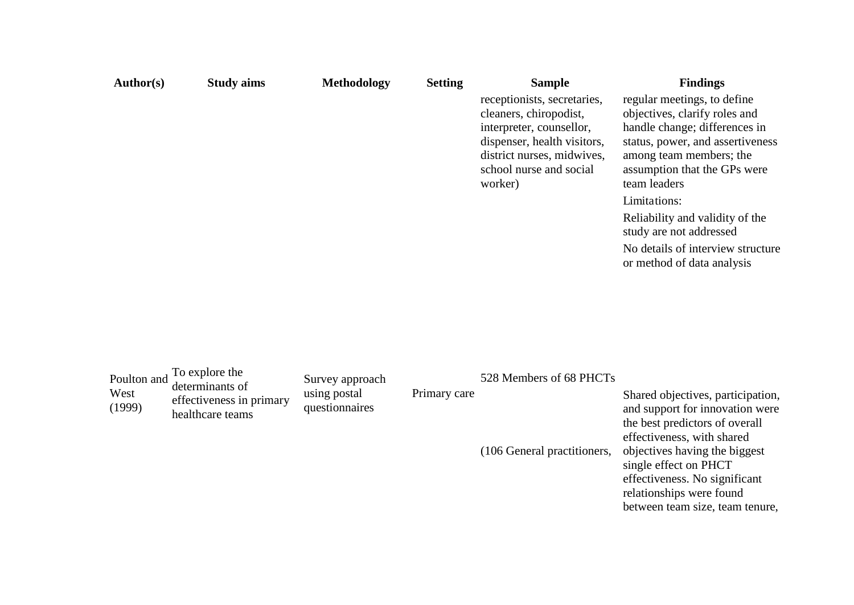| Author(s) | <b>Study aims</b> | <b>Methodology</b> | <b>Setting</b> | <b>Sample</b>                                                                                                                                                                        | <b>Findings</b>                                                                                                                                                                                              |
|-----------|-------------------|--------------------|----------------|--------------------------------------------------------------------------------------------------------------------------------------------------------------------------------------|--------------------------------------------------------------------------------------------------------------------------------------------------------------------------------------------------------------|
|           |                   |                    |                | receptionists, secretaries,<br>cleaners, chiropodist,<br>interpreter, counsellor,<br>dispenser, health visitors,<br>district nurses, midwives,<br>school nurse and social<br>worker) | regular meetings, to define<br>objectives, clarify roles and<br>handle change; differences in<br>status, power, and assertiveness<br>among team members; the<br>assumption that the GPs were<br>team leaders |
|           |                   |                    |                |                                                                                                                                                                                      | Limitations:                                                                                                                                                                                                 |
|           |                   |                    |                |                                                                                                                                                                                      | Reliability and validity of the<br>study are not addressed                                                                                                                                                   |
|           |                   |                    |                |                                                                                                                                                                                      | No details of interview structure<br>or method of data analysis                                                                                                                                              |

| West<br>(1999) | Poulton and $\frac{To \exp{0}}{d}$ determinants of<br>effectiveness in primary<br>healthcare teams | Survey approach<br>using postal<br>questionnaires | Primary care | 528 Members of 68 PHCTs     | Shared objectives, participation,<br>and support for innovation were<br>the best predictors of overall<br>effectiveness, with shared |
|----------------|----------------------------------------------------------------------------------------------------|---------------------------------------------------|--------------|-----------------------------|--------------------------------------------------------------------------------------------------------------------------------------|
|                |                                                                                                    |                                                   |              | (106 General practitioners, | objectives having the biggest                                                                                                        |

single effect on PHCT effectiveness. No significant relationships were found between team size, team tenure,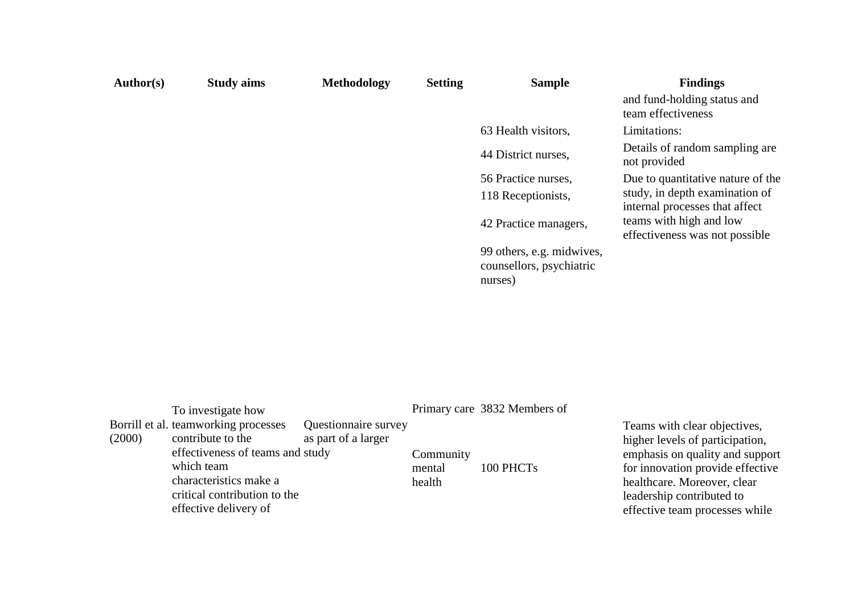| <b>Author(s)</b> | <b>Study aims</b> | Methodology | <b>Setting</b> | <b>Sample</b>                                                    | <b>Findings</b>                                                  |
|------------------|-------------------|-------------|----------------|------------------------------------------------------------------|------------------------------------------------------------------|
|                  |                   |             |                |                                                                  | and fund-holding status and<br>team effectiveness                |
|                  |                   |             |                | 63 Health visitors,                                              | Limitations:                                                     |
|                  |                   |             |                | 44 District nurses,                                              | Details of random sampling are.<br>not provided                  |
|                  |                   |             |                | 56 Practice nurses,                                              | Due to quantitative nature of the                                |
|                  |                   |             |                | 118 Receptionists,                                               | study, in depth examination of<br>internal processes that affect |
|                  |                   |             |                | 42 Practice managers,                                            | teams with high and low<br>effectiveness was not possible        |
|                  |                   |             |                | 99 others, e.g. midwives,<br>counsellors, psychiatric<br>nurses) |                                                                  |

|        | To investigate how                                                                                                                                                                             |                                             |                               | Primary care 3832 Members of |
|--------|------------------------------------------------------------------------------------------------------------------------------------------------------------------------------------------------|---------------------------------------------|-------------------------------|------------------------------|
| (2000) | Borrill et al. teamworking processes<br>contribute to the<br>effectiveness of teams and study<br>which team<br>characteristics make a<br>critical contribution to the<br>effective delivery of | Questionnaire survey<br>as part of a larger | Community<br>mental<br>health | 100 PHCTs                    |

Teams with clear objectives, higher levels of participation, emphasis on quality and support for innovation provide effective healthcare. Moreover, clear leadership contributed to effective team processes while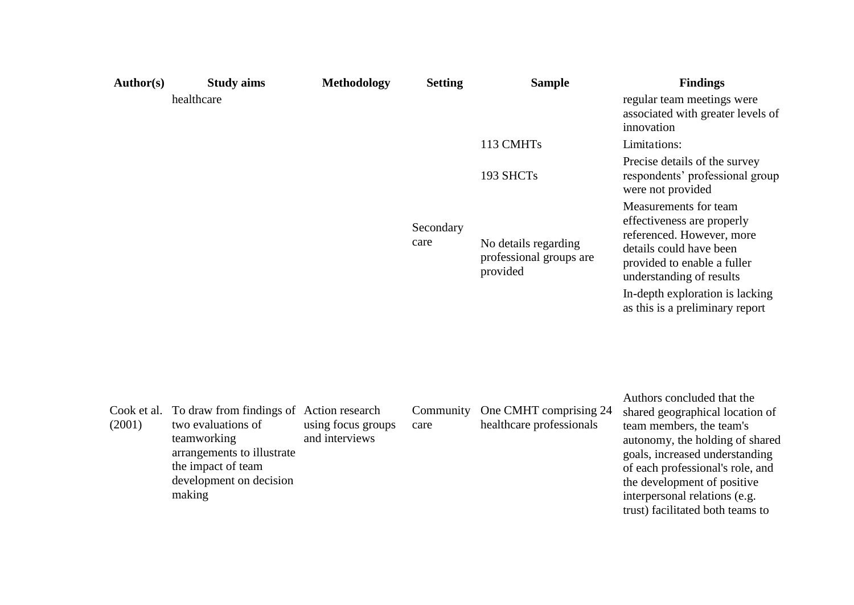| Author(s)             | <b>Study aims</b>                                                                                                                                                      | <b>Methodology</b>                   | <b>Setting</b>    | <b>Sample</b>                                               | <b>Findings</b>                                                                                                                                                                                                                                                                                        |
|-----------------------|------------------------------------------------------------------------------------------------------------------------------------------------------------------------|--------------------------------------|-------------------|-------------------------------------------------------------|--------------------------------------------------------------------------------------------------------------------------------------------------------------------------------------------------------------------------------------------------------------------------------------------------------|
|                       | healthcare                                                                                                                                                             |                                      |                   |                                                             | regular team meetings were<br>associated with greater levels of<br>innovation                                                                                                                                                                                                                          |
|                       |                                                                                                                                                                        |                                      |                   | 113 CMHTs                                                   | Limitations:                                                                                                                                                                                                                                                                                           |
|                       |                                                                                                                                                                        |                                      |                   | 193 SHCTs                                                   | Precise details of the survey<br>respondents' professional group<br>were not provided                                                                                                                                                                                                                  |
|                       |                                                                                                                                                                        |                                      | Secondary<br>care | No details regarding<br>professional groups are<br>provided | Measurements for team<br>effectiveness are properly<br>referenced. However, more<br>details could have been<br>provided to enable a fuller<br>understanding of results                                                                                                                                 |
|                       |                                                                                                                                                                        |                                      |                   |                                                             | In-depth exploration is lacking<br>as this is a preliminary report                                                                                                                                                                                                                                     |
| Cook et al.<br>(2001) | To draw from findings of Action research<br>two evaluations of<br>teamworking<br>arrangements to illustrate<br>the impact of team<br>development on decision<br>making | using focus groups<br>and interviews | Community<br>care | One CMHT comprising 24<br>healthcare professionals          | Authors concluded that the<br>shared geographical location of<br>team members, the team's<br>autonomy, the holding of shared<br>goals, increased understanding<br>of each professional's role, and<br>the development of positive<br>interpersonal relations (e.g.<br>trust) facilitated both teams to |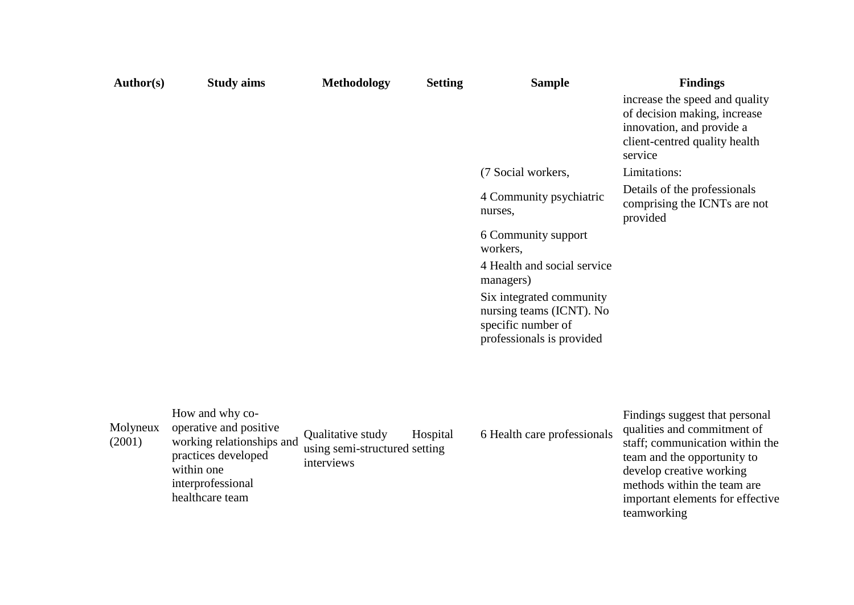| <b>Author(s)</b>   | <b>Study aims</b>                                                                                                                                   | <b>Methodology</b>                                               | <b>Setting</b> | <b>Sample</b>                                                                                           | <b>Findings</b><br>increase the speed and quality                                                                                                                                                                                             |
|--------------------|-----------------------------------------------------------------------------------------------------------------------------------------------------|------------------------------------------------------------------|----------------|---------------------------------------------------------------------------------------------------------|-----------------------------------------------------------------------------------------------------------------------------------------------------------------------------------------------------------------------------------------------|
|                    |                                                                                                                                                     |                                                                  |                |                                                                                                         | of decision making, increase<br>innovation, and provide a<br>client-centred quality health<br>service                                                                                                                                         |
|                    |                                                                                                                                                     |                                                                  |                | (7 Social workers,                                                                                      | Limitations:                                                                                                                                                                                                                                  |
|                    |                                                                                                                                                     |                                                                  |                | 4 Community psychiatric<br>nurses,                                                                      | Details of the professionals<br>comprising the ICNTs are not<br>provided                                                                                                                                                                      |
|                    |                                                                                                                                                     |                                                                  |                | 6 Community support<br>workers,                                                                         |                                                                                                                                                                                                                                               |
|                    |                                                                                                                                                     |                                                                  |                | 4 Health and social service<br>managers)                                                                |                                                                                                                                                                                                                                               |
|                    |                                                                                                                                                     |                                                                  |                | Six integrated community<br>nursing teams (ICNT). No<br>specific number of<br>professionals is provided |                                                                                                                                                                                                                                               |
|                    |                                                                                                                                                     |                                                                  |                |                                                                                                         |                                                                                                                                                                                                                                               |
| Molyneux<br>(2001) | How and why co-<br>operative and positive<br>working relationships and<br>practices developed<br>within one<br>interprofessional<br>healthcare team | Qualitative study<br>using semi-structured setting<br>interviews | Hospital       | 6 Health care professionals                                                                             | Findings suggest that personal<br>qualities and commitment of<br>staff; communication within the<br>team and the opportunity to<br>develop creative working<br>methods within the team are<br>important elements for effective<br>teamworking |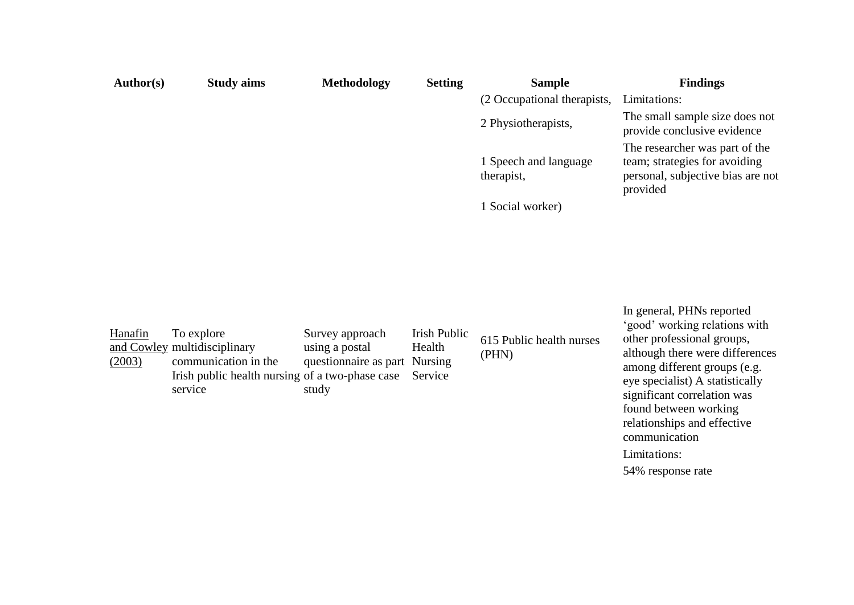| Author(s) | <b>Study aims</b> | <b>Methodology</b> | <b>Setting</b> | <b>Sample</b>                       | <b>Findings</b>                                                                                                  |
|-----------|-------------------|--------------------|----------------|-------------------------------------|------------------------------------------------------------------------------------------------------------------|
|           |                   |                    |                | (2 Occupational therapists,         | Limitations:                                                                                                     |
|           |                   |                    |                | 2 Physiotherapists,                 | The small sample size does not<br>provide conclusive evidence                                                    |
|           |                   |                    |                | 1 Speech and language<br>therapist, | The researcher was part of the<br>team; strategies for avoiding<br>personal, subjective bias are not<br>provided |
|           |                   |                    |                | I Social worker)                    |                                                                                                                  |

| Hanafin<br>(2003) | To explore<br>and Cowley multidisciplinary<br>communication in the<br>Irish public health nursing of a two-phase case<br>service | Survey approach<br>using a postal<br>questionnaire as part Nursing<br>study | Irish Public<br>Health<br>Service | 615 Public health nurses<br>(PHN) | In general, PHNs reported<br>'good' working relations with<br>other professional groups,<br>although there were differences<br>among different groups (e.g.<br>eye specialist) A statistically<br>significant correlation was<br>found between working |
|-------------------|----------------------------------------------------------------------------------------------------------------------------------|-----------------------------------------------------------------------------|-----------------------------------|-----------------------------------|--------------------------------------------------------------------------------------------------------------------------------------------------------------------------------------------------------------------------------------------------------|
|                   |                                                                                                                                  |                                                                             |                                   |                                   | relationships and effective                                                                                                                                                                                                                            |

communication Limitations:

54% response rate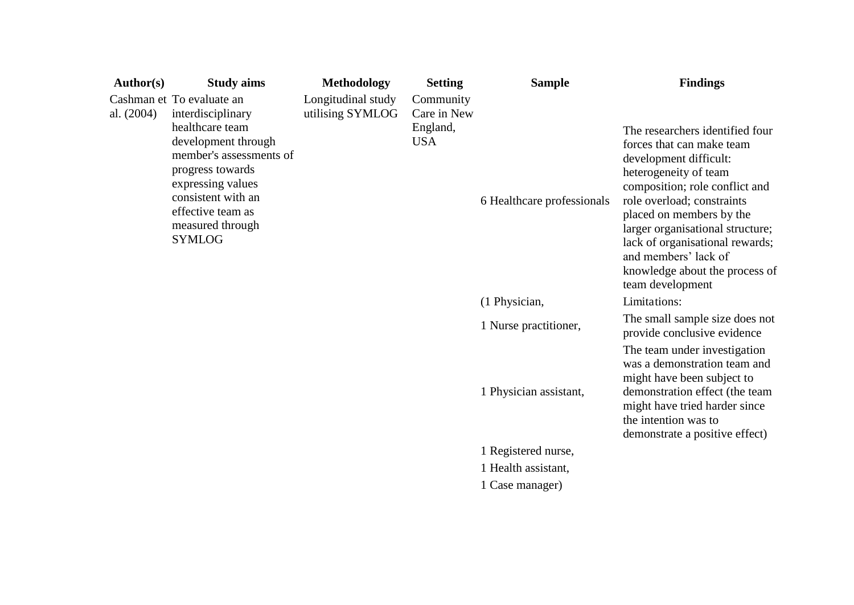| <b>Author(s)</b> | <b>Study aims</b>                                                                                                                                                                                                                            | <b>Methodology</b>                     | <b>Setting</b>                                     | <b>Sample</b>              | <b>Findings</b>                                                                                                                                                                                                                                                                                                                                                  |
|------------------|----------------------------------------------------------------------------------------------------------------------------------------------------------------------------------------------------------------------------------------------|----------------------------------------|----------------------------------------------------|----------------------------|------------------------------------------------------------------------------------------------------------------------------------------------------------------------------------------------------------------------------------------------------------------------------------------------------------------------------------------------------------------|
| al. $(2004)$     | Cashman et To evaluate an<br>interdisciplinary<br>healthcare team<br>development through<br>member's assessments of<br>progress towards<br>expressing values<br>consistent with an<br>effective team as<br>measured through<br><b>SYMLOG</b> | Longitudinal study<br>utilising SYMLOG | Community<br>Care in New<br>England,<br><b>USA</b> | 6 Healthcare professionals | The researchers identified four<br>forces that can make team<br>development difficult:<br>heterogeneity of team<br>composition; role conflict and<br>role overload; constraints<br>placed on members by the<br>larger organisational structure;<br>lack of organisational rewards;<br>and members' lack of<br>knowledge about the process of<br>team development |
|                  |                                                                                                                                                                                                                                              |                                        |                                                    | (1 Physician,              | Limitations:                                                                                                                                                                                                                                                                                                                                                     |
|                  |                                                                                                                                                                                                                                              |                                        |                                                    | 1 Nurse practitioner,      | The small sample size does not<br>provide conclusive evidence                                                                                                                                                                                                                                                                                                    |
|                  |                                                                                                                                                                                                                                              |                                        |                                                    | 1 Physician assistant,     | The team under investigation<br>was a demonstration team and<br>might have been subject to<br>demonstration effect (the team<br>might have tried harder since<br>the intention was to<br>demonstrate a positive effect)                                                                                                                                          |
|                  |                                                                                                                                                                                                                                              |                                        |                                                    | 1 Registered nurse,        |                                                                                                                                                                                                                                                                                                                                                                  |
|                  |                                                                                                                                                                                                                                              |                                        |                                                    | 1 Health assistant,        |                                                                                                                                                                                                                                                                                                                                                                  |
|                  |                                                                                                                                                                                                                                              |                                        |                                                    | 1 Case manager)            |                                                                                                                                                                                                                                                                                                                                                                  |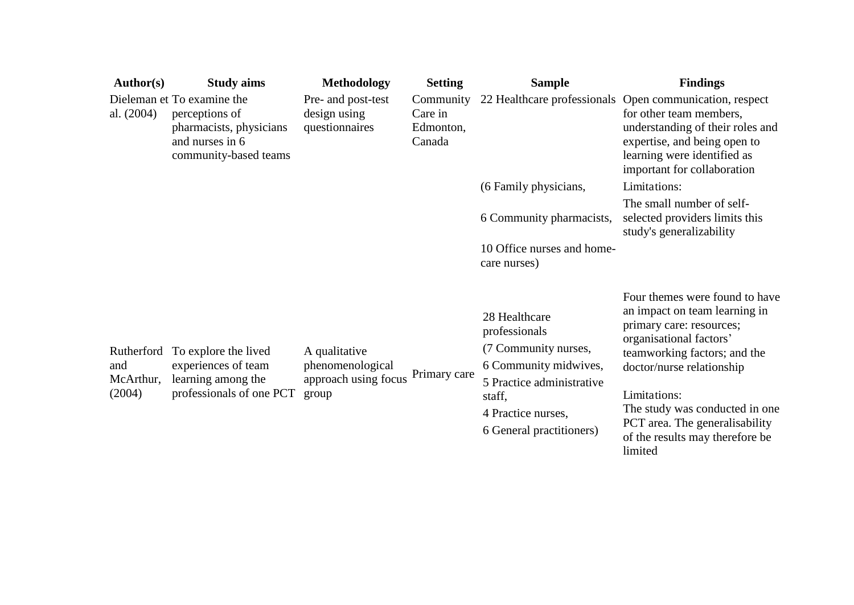| <b>Author(s)</b>                         | <b>Study aims</b>                                                                                                   | <b>Methodology</b>                                                 | <b>Setting</b>                              | <b>Sample</b>                                                                                                                                                            | <b>Findings</b>                                                                                                                                                                                                                                                                                                       |
|------------------------------------------|---------------------------------------------------------------------------------------------------------------------|--------------------------------------------------------------------|---------------------------------------------|--------------------------------------------------------------------------------------------------------------------------------------------------------------------------|-----------------------------------------------------------------------------------------------------------------------------------------------------------------------------------------------------------------------------------------------------------------------------------------------------------------------|
| al. $(2004)$                             | Dieleman et To examine the<br>perceptions of<br>pharmacists, physicians<br>and nurses in 6<br>community-based teams | Pre- and post-test<br>design using<br>questionnaires               | Community<br>Care in<br>Edmonton,<br>Canada |                                                                                                                                                                          | 22 Healthcare professionals Open communication, respect<br>for other team members,<br>understanding of their roles and<br>expertise, and being open to<br>learning were identified as<br>important for collaboration                                                                                                  |
|                                          |                                                                                                                     |                                                                    |                                             | (6 Family physicians,                                                                                                                                                    | Limitations:                                                                                                                                                                                                                                                                                                          |
|                                          |                                                                                                                     |                                                                    |                                             | 6 Community pharmacists,                                                                                                                                                 | The small number of self-<br>selected providers limits this<br>study's generalizability                                                                                                                                                                                                                               |
|                                          |                                                                                                                     |                                                                    |                                             | 10 Office nurses and home-<br>care nurses)                                                                                                                               |                                                                                                                                                                                                                                                                                                                       |
| Rutherford<br>and<br>McArthur,<br>(2004) | To explore the lived<br>experiences of team<br>learning among the<br>professionals of one PCT                       | A qualitative<br>phenomenological<br>approach using focus<br>group | Primary care                                | 28 Healthcare<br>professionals<br>(7 Community nurses,<br>6 Community midwives,<br>5 Practice administrative<br>staff,<br>4 Practice nurses,<br>6 General practitioners) | Four themes were found to have<br>an impact on team learning in<br>primary care: resources;<br>organisational factors'<br>teamworking factors; and the<br>doctor/nurse relationship<br>Limitations:<br>The study was conducted in one<br>PCT area. The generalisability<br>of the results may therefore be<br>limited |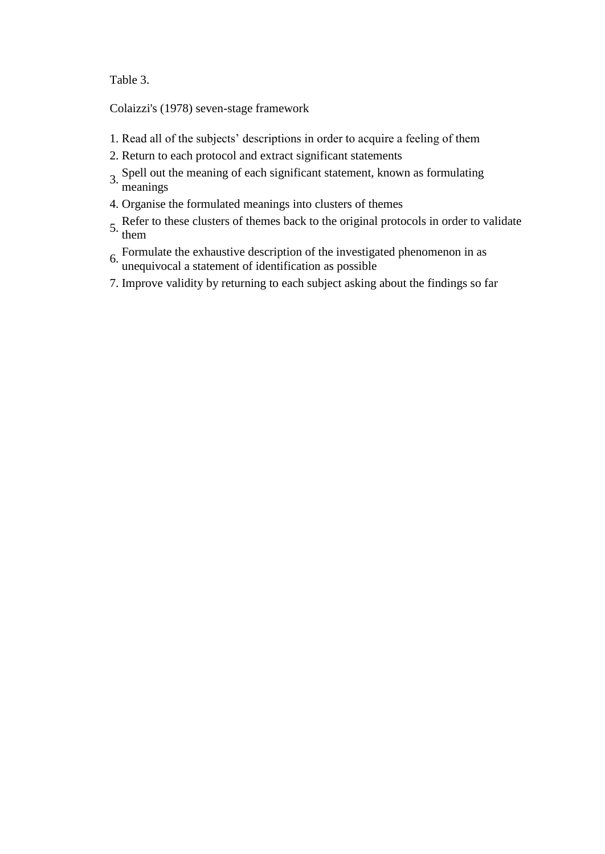Table 3.

[Colaizzi's \(1978\)](http://www.sciencedirect.com/science/article/pii/S0020748907000375#bib8) seven-stage framework

- 1. Read all of the subjects' descriptions in order to acquire a feeling of them
- 2. Return to each protocol and extract significant statements
- 3. Spell out the meaning of each significant statement, known as formulating meanings
- 4. Organise the formulated meanings into clusters of themes
- 5. Refer to these clusters of themes back to the original protocols in order to validate them
- 6. Formulate the exhaustive description of the investigated phenomenon in as unequivocal a statement of identification as possible
- 7. Improve validity by returning to each subject asking about the findings so far